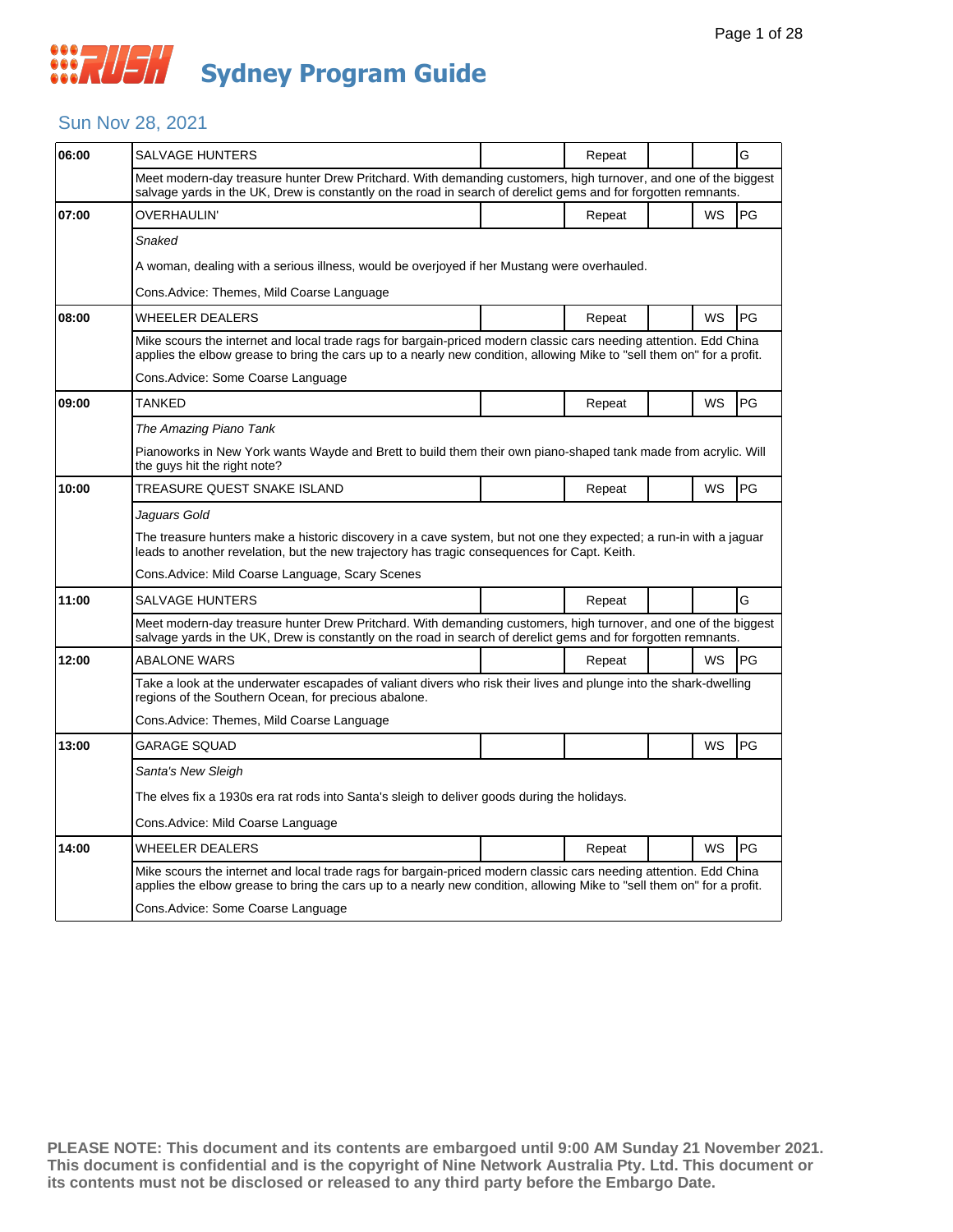#### Sun Nov 28, 2021

| 06:00 | SALVAGE HUNTERS                                                                                                                                                                                                                             |  | Repeat |  |    | G  |  |  |  |
|-------|---------------------------------------------------------------------------------------------------------------------------------------------------------------------------------------------------------------------------------------------|--|--------|--|----|----|--|--|--|
|       | Meet modern-day treasure hunter Drew Pritchard. With demanding customers, high turnover, and one of the biggest<br>salvage yards in the UK, Drew is constantly on the road in search of derelict gems and for forgotten remnants.           |  |        |  |    |    |  |  |  |
| 07:00 | OVERHAULIN'                                                                                                                                                                                                                                 |  | Repeat |  | WS | PG |  |  |  |
|       | Snaked                                                                                                                                                                                                                                      |  |        |  |    |    |  |  |  |
|       | A woman, dealing with a serious illness, would be overjoyed if her Mustang were overhauled.                                                                                                                                                 |  |        |  |    |    |  |  |  |
|       | Cons.Advice: Themes, Mild Coarse Language                                                                                                                                                                                                   |  |        |  |    |    |  |  |  |
| 08:00 | WHEELER DEALERS                                                                                                                                                                                                                             |  | Repeat |  | WS | PG |  |  |  |
|       | Mike scours the internet and local trade rags for bargain-priced modern classic cars needing attention. Edd China<br>applies the elbow grease to bring the cars up to a nearly new condition, allowing Mike to "sell them on" for a profit. |  |        |  |    |    |  |  |  |
|       | Cons.Advice: Some Coarse Language                                                                                                                                                                                                           |  |        |  |    |    |  |  |  |
| 09:00 | TANKED                                                                                                                                                                                                                                      |  | Repeat |  | WS | PG |  |  |  |
|       | The Amazing Piano Tank                                                                                                                                                                                                                      |  |        |  |    |    |  |  |  |
|       | Pianoworks in New York wants Wayde and Brett to build them their own piano-shaped tank made from acrylic. Will<br>the guys hit the right note?                                                                                              |  |        |  |    |    |  |  |  |
| 10:00 | TREASURE QUEST SNAKE ISLAND                                                                                                                                                                                                                 |  | Repeat |  | WS | PG |  |  |  |
|       | Jaguars Gold                                                                                                                                                                                                                                |  |        |  |    |    |  |  |  |
|       | The treasure hunters make a historic discovery in a cave system, but not one they expected; a run-in with a jaguar<br>leads to another revelation, but the new trajectory has tragic consequences for Capt. Keith.                          |  |        |  |    |    |  |  |  |
|       | Cons. Advice: Mild Coarse Language, Scary Scenes                                                                                                                                                                                            |  |        |  |    |    |  |  |  |
| 11:00 | SALVAGE HUNTERS                                                                                                                                                                                                                             |  | Repeat |  |    | G  |  |  |  |
|       | Meet modern-day treasure hunter Drew Pritchard. With demanding customers, high turnover, and one of the biggest<br>salvage yards in the UK, Drew is constantly on the road in search of derelict gems and for forgotten remnants.           |  |        |  |    |    |  |  |  |
| 12:00 | <b>ABALONE WARS</b>                                                                                                                                                                                                                         |  | Repeat |  | WS | PG |  |  |  |
|       | Take a look at the underwater escapades of valiant divers who risk their lives and plunge into the shark-dwelling<br>regions of the Southern Ocean, for precious abalone.                                                                   |  |        |  |    |    |  |  |  |
|       | Cons.Advice: Themes, Mild Coarse Language                                                                                                                                                                                                   |  |        |  |    |    |  |  |  |
| 13:00 | <b>GARAGE SQUAD</b>                                                                                                                                                                                                                         |  |        |  | WS | PG |  |  |  |
|       | Santa's New Sleigh                                                                                                                                                                                                                          |  |        |  |    |    |  |  |  |
|       | The elves fix a 1930s era rat rods into Santa's sleigh to deliver goods during the holidays.                                                                                                                                                |  |        |  |    |    |  |  |  |
|       | Cons.Advice: Mild Coarse Language                                                                                                                                                                                                           |  |        |  |    |    |  |  |  |
| 14:00 | WHEELER DEALERS                                                                                                                                                                                                                             |  | Repeat |  | WS | PG |  |  |  |
|       | Mike scours the internet and local trade rags for bargain-priced modern classic cars needing attention. Edd China<br>applies the elbow grease to bring the cars up to a nearly new condition, allowing Mike to "sell them on" for a profit. |  |        |  |    |    |  |  |  |
|       | Cons. Advice: Some Coarse Language                                                                                                                                                                                                          |  |        |  |    |    |  |  |  |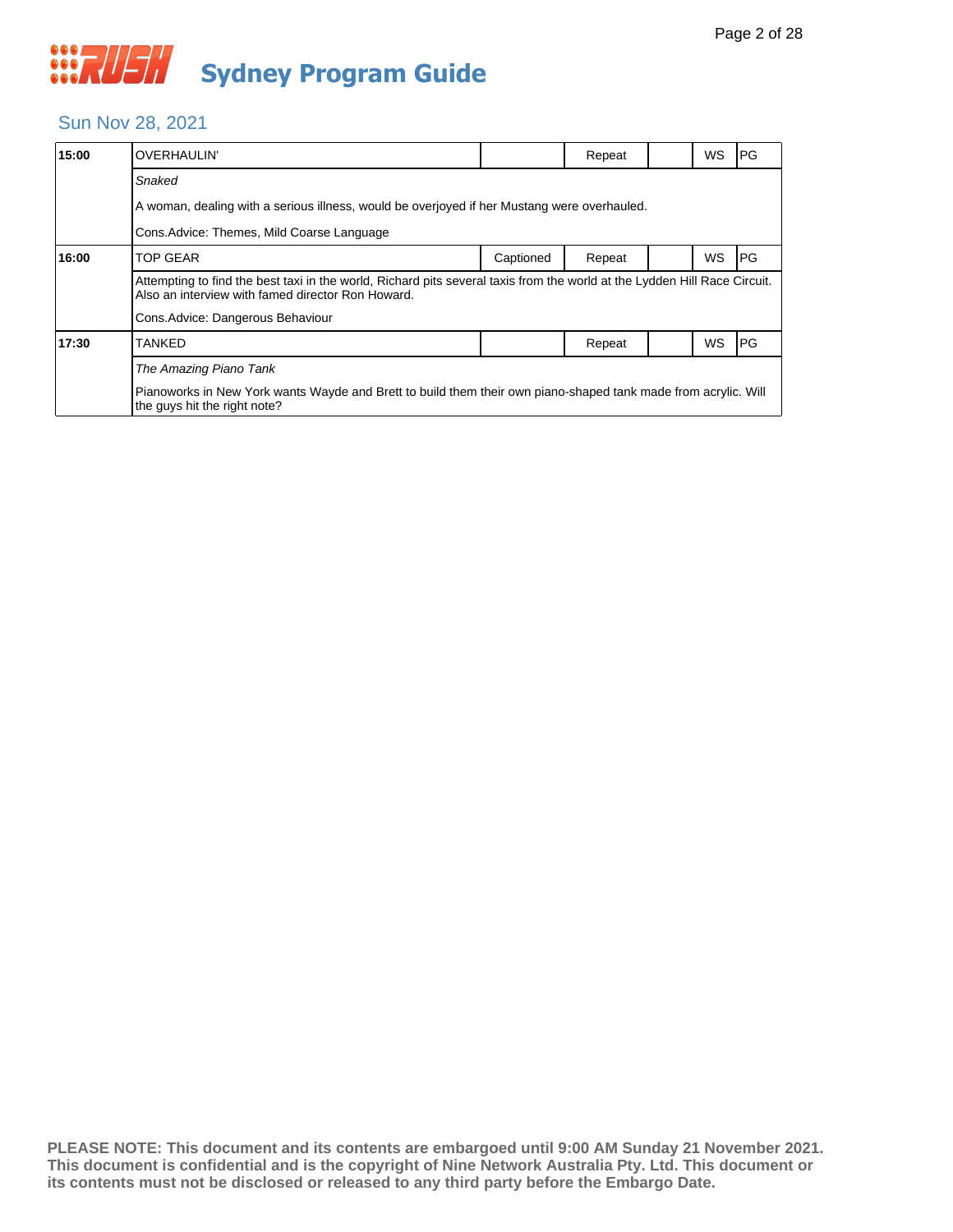

#### Sun Nov 28, 2021

| 15:00 | <b>OVERHAULIN'</b>                                                                                                                                                             |           | Repeat |  | <b>WS</b> | PG |  |  |  |  |
|-------|--------------------------------------------------------------------------------------------------------------------------------------------------------------------------------|-----------|--------|--|-----------|----|--|--|--|--|
|       | Snaked                                                                                                                                                                         |           |        |  |           |    |  |  |  |  |
|       | A woman, dealing with a serious illness, would be overjoyed if her Mustang were overhauled.                                                                                    |           |        |  |           |    |  |  |  |  |
|       | Cons. Advice: Themes, Mild Coarse Language                                                                                                                                     |           |        |  |           |    |  |  |  |  |
| 16:00 | <b>TOP GEAR</b>                                                                                                                                                                | Captioned | Repeat |  | WS        | PG |  |  |  |  |
|       | Attempting to find the best taxi in the world, Richard pits several taxis from the world at the Lydden Hill Race Circuit.<br>Also an interview with famed director Ron Howard. |           |        |  |           |    |  |  |  |  |
|       | Cons. Advice: Dangerous Behaviour                                                                                                                                              |           |        |  |           |    |  |  |  |  |
| 17:30 | <b>TANKED</b>                                                                                                                                                                  |           | Repeat |  | WS        | PG |  |  |  |  |
|       | The Amazing Piano Tank                                                                                                                                                         |           |        |  |           |    |  |  |  |  |
|       | Pianoworks in New York wants Wayde and Brett to build them their own piano-shaped tank made from acrylic. Will<br>the guys hit the right note?                                 |           |        |  |           |    |  |  |  |  |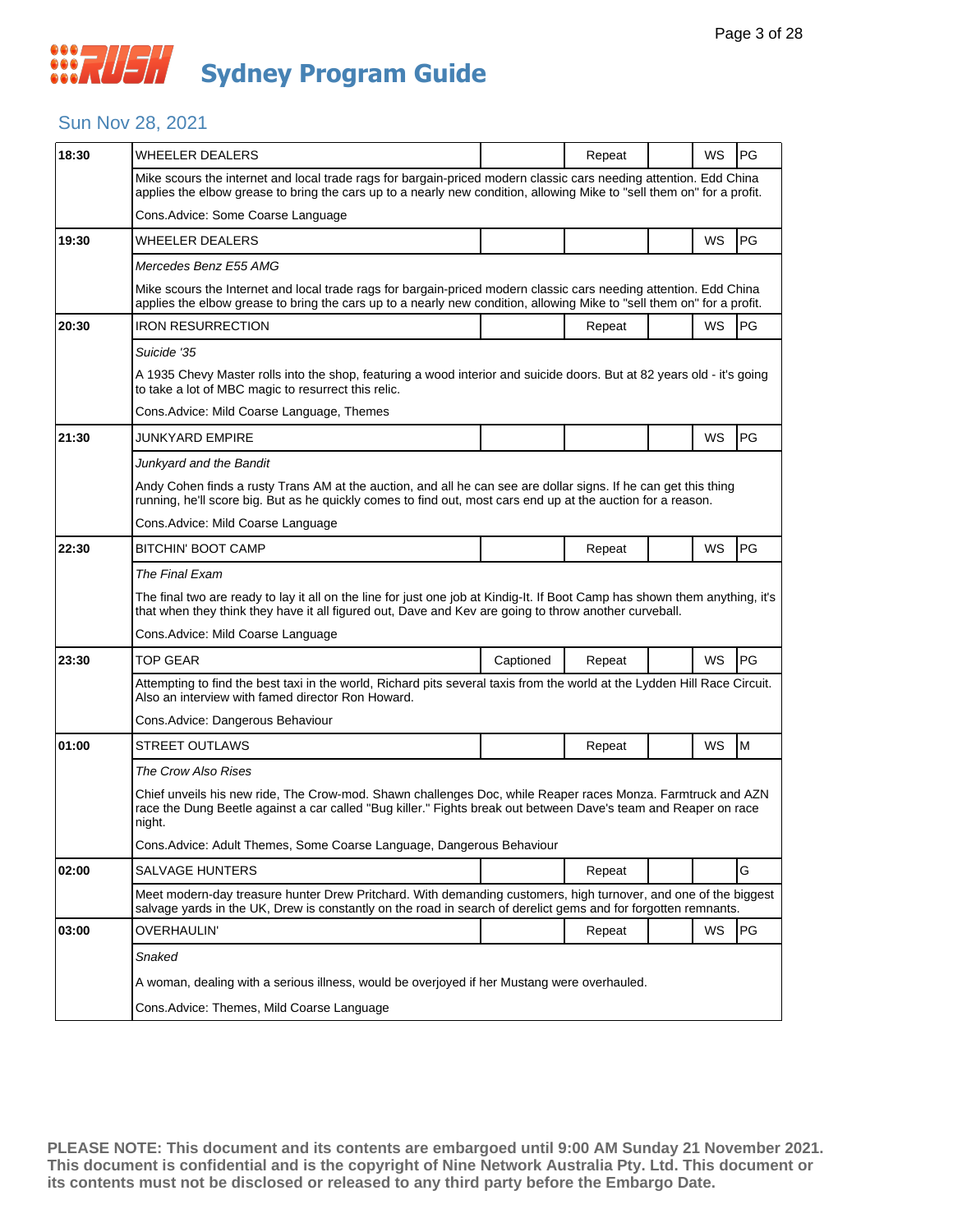#### Sun Nov 28, 2021

| 18:30 | WHEELER DEALERS                                                                                                                                                                                                                             |                                                                                                                        | Repeat |  | WS | PG |  |  |  |
|-------|---------------------------------------------------------------------------------------------------------------------------------------------------------------------------------------------------------------------------------------------|------------------------------------------------------------------------------------------------------------------------|--------|--|----|----|--|--|--|
|       | Mike scours the internet and local trade rags for bargain-priced modern classic cars needing attention. Edd China<br>applies the elbow grease to bring the cars up to a nearly new condition, allowing Mike to "sell them on" for a profit. |                                                                                                                        |        |  |    |    |  |  |  |
|       | Cons.Advice: Some Coarse Language                                                                                                                                                                                                           |                                                                                                                        |        |  |    |    |  |  |  |
| 19:30 | WHEELER DEALERS                                                                                                                                                                                                                             |                                                                                                                        |        |  | WS | PG |  |  |  |
|       | Mercedes Benz E55 AMG                                                                                                                                                                                                                       |                                                                                                                        |        |  |    |    |  |  |  |
|       | Mike scours the Internet and local trade rags for bargain-priced modern classic cars needing attention. Edd China<br>applies the elbow grease to bring the cars up to a nearly new condition, allowing Mike to "sell them on" for a profit. |                                                                                                                        |        |  |    |    |  |  |  |
| 20:30 | <b>IRON RESURRECTION</b>                                                                                                                                                                                                                    |                                                                                                                        | Repeat |  | WS | PG |  |  |  |
|       | Suicide '35                                                                                                                                                                                                                                 |                                                                                                                        |        |  |    |    |  |  |  |
|       | to take a lot of MBC magic to resurrect this relic.                                                                                                                                                                                         | A 1935 Chevy Master rolls into the shop, featuring a wood interior and suicide doors. But at 82 years old - it's going |        |  |    |    |  |  |  |
|       | Cons. Advice: Mild Coarse Language, Themes                                                                                                                                                                                                  |                                                                                                                        |        |  |    |    |  |  |  |
| 21:30 | JUNKYARD EMPIRE                                                                                                                                                                                                                             |                                                                                                                        |        |  | WS | PG |  |  |  |
|       | Junkyard and the Bandit                                                                                                                                                                                                                     |                                                                                                                        |        |  |    |    |  |  |  |
|       | Andy Cohen finds a rusty Trans AM at the auction, and all he can see are dollar signs. If he can get this thing<br>running, he'll score big. But as he quickly comes to find out, most cars end up at the auction for a reason.             |                                                                                                                        |        |  |    |    |  |  |  |
|       | Cons. Advice: Mild Coarse Language                                                                                                                                                                                                          |                                                                                                                        |        |  |    |    |  |  |  |
| 22:30 | <b>BITCHIN' BOOT CAMP</b>                                                                                                                                                                                                                   |                                                                                                                        | Repeat |  | WS | PG |  |  |  |
|       | The Final Exam                                                                                                                                                                                                                              |                                                                                                                        |        |  |    |    |  |  |  |
|       | The final two are ready to lay it all on the line for just one job at Kindig-It. If Boot Camp has shown them anything, it's<br>that when they think they have it all figured out, Dave and Kev are going to throw another curveball.        |                                                                                                                        |        |  |    |    |  |  |  |
|       | Cons. Advice: Mild Coarse Language                                                                                                                                                                                                          |                                                                                                                        |        |  |    |    |  |  |  |
| 23:30 | <b>TOP GEAR</b>                                                                                                                                                                                                                             | Captioned                                                                                                              | Repeat |  | WS | PG |  |  |  |
|       | Attempting to find the best taxi in the world, Richard pits several taxis from the world at the Lydden Hill Race Circuit.<br>Also an interview with famed director Ron Howard.                                                              |                                                                                                                        |        |  |    |    |  |  |  |
|       | Cons. Advice: Dangerous Behaviour                                                                                                                                                                                                           |                                                                                                                        |        |  |    |    |  |  |  |
| 01:00 | <b>STREET OUTLAWS</b>                                                                                                                                                                                                                       |                                                                                                                        | Repeat |  | WS | M  |  |  |  |
|       | The Crow Also Rises                                                                                                                                                                                                                         |                                                                                                                        |        |  |    |    |  |  |  |
|       | Chief unveils his new ride, The Crow-mod. Shawn challenges Doc, while Reaper races Monza. Farmtruck and AZN<br>race the Dung Beetle against a car called "Bug killer." Fights break out between Dave's team and Reaper on race<br>night.    |                                                                                                                        |        |  |    |    |  |  |  |
|       | Cons. Advice: Adult Themes, Some Coarse Language, Dangerous Behaviour                                                                                                                                                                       |                                                                                                                        |        |  |    |    |  |  |  |
| 02:00 | <b>SALVAGE HUNTERS</b>                                                                                                                                                                                                                      |                                                                                                                        | Repeat |  |    | G  |  |  |  |
|       | Meet modern-day treasure hunter Drew Pritchard. With demanding customers, high turnover, and one of the biggest<br>salvage yards in the UK, Drew is constantly on the road in search of derelict gems and for forgotten remnants.           |                                                                                                                        |        |  |    |    |  |  |  |
| 03:00 | <b>OVERHAULIN'</b>                                                                                                                                                                                                                          |                                                                                                                        | Repeat |  | WS | PG |  |  |  |
|       | Snaked                                                                                                                                                                                                                                      |                                                                                                                        |        |  |    |    |  |  |  |
|       | A woman, dealing with a serious illness, would be overjoyed if her Mustang were overhauled.                                                                                                                                                 |                                                                                                                        |        |  |    |    |  |  |  |
|       | Cons. Advice: Themes, Mild Coarse Language                                                                                                                                                                                                  |                                                                                                                        |        |  |    |    |  |  |  |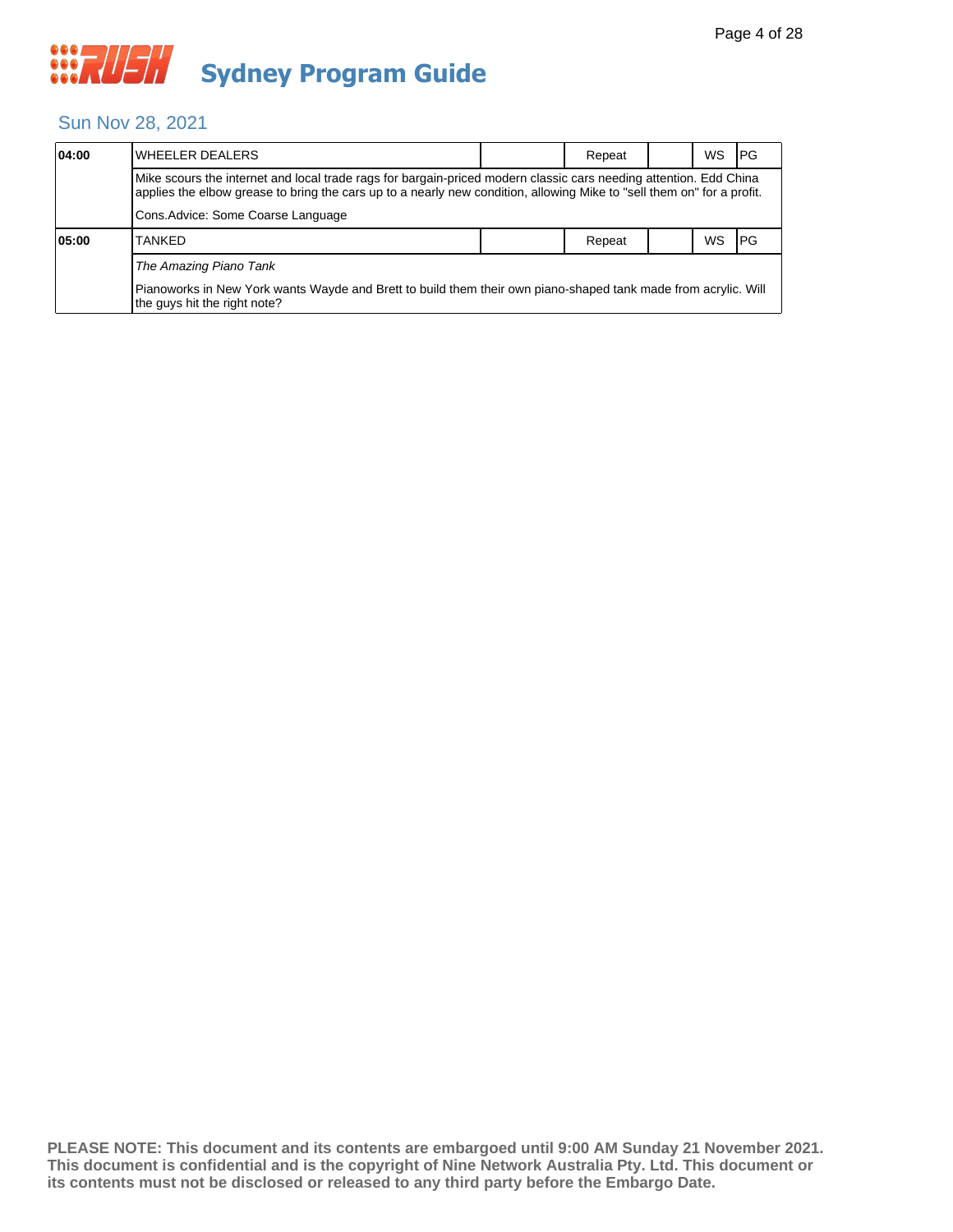#### Sun Nov 28, 2021

| 04:00 | lWHEELER DEALERS                                                                                                                                                                                                                            |  | Repeat |  | WS. | <b>IPG</b> |  |  |  |
|-------|---------------------------------------------------------------------------------------------------------------------------------------------------------------------------------------------------------------------------------------------|--|--------|--|-----|------------|--|--|--|
|       | Mike scours the internet and local trade rags for bargain-priced modern classic cars needing attention. Edd China<br>applies the elbow grease to bring the cars up to a nearly new condition, allowing Mike to "sell them on" for a profit. |  |        |  |     |            |  |  |  |
|       | Cons.Advice: Some Coarse Language                                                                                                                                                                                                           |  |        |  |     |            |  |  |  |
| 05:00 | <b>TANKED</b>                                                                                                                                                                                                                               |  | Repeat |  | ws  | <b>IPG</b> |  |  |  |
|       | The Amazing Piano Tank<br>Pianoworks in New York wants Wayde and Brett to build them their own piano-shaped tank made from acrylic. Will<br>the guys hit the right note?                                                                    |  |        |  |     |            |  |  |  |
|       |                                                                                                                                                                                                                                             |  |        |  |     |            |  |  |  |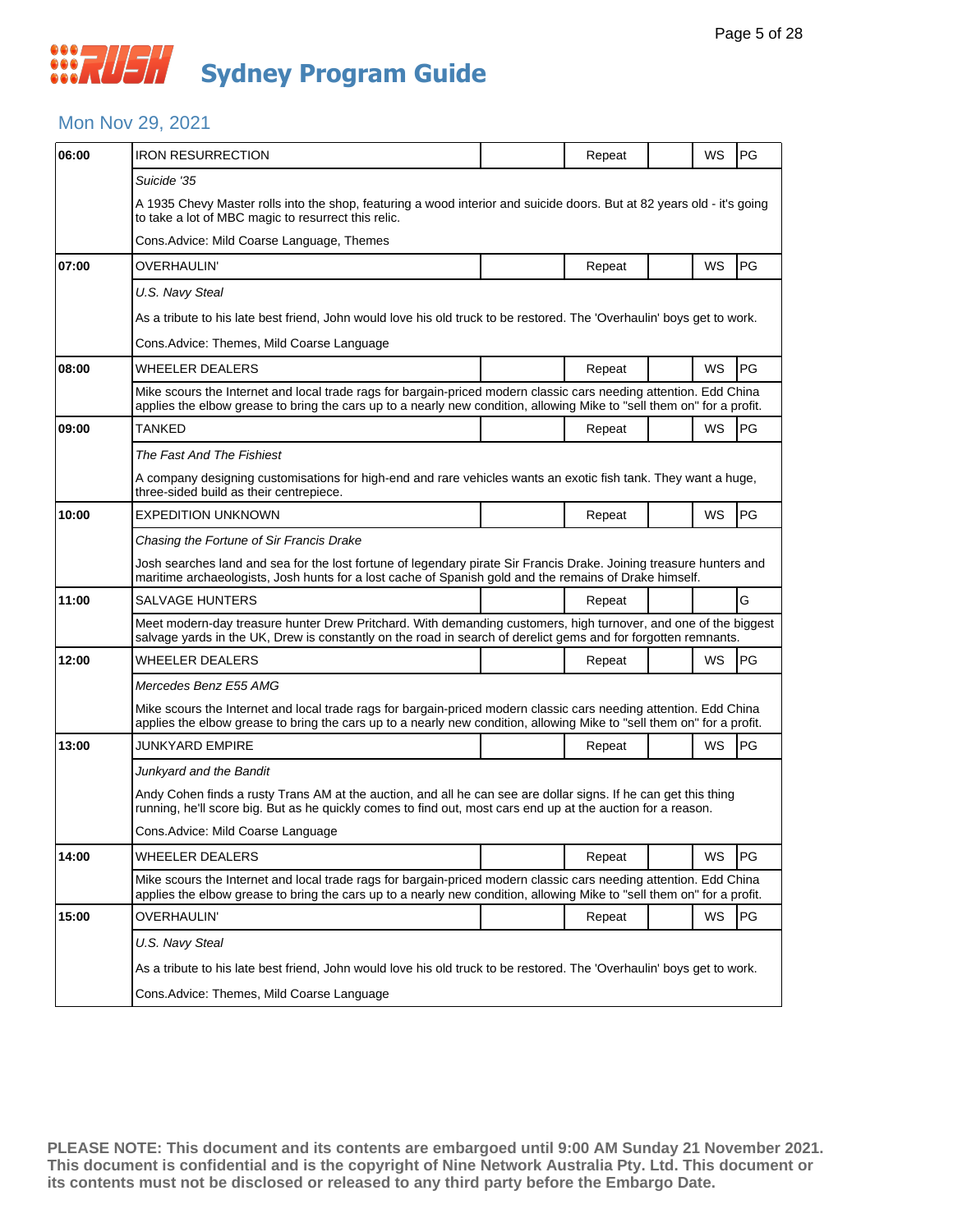#### Mon Nov 29, 2021

| 06:00 | <b>IRON RESURRECTION</b>                                                                                                                                                                                                                    |                                                                                                                                                                                                                                             | Repeat |  | WS | <b>PG</b> |  |  |  |
|-------|---------------------------------------------------------------------------------------------------------------------------------------------------------------------------------------------------------------------------------------------|---------------------------------------------------------------------------------------------------------------------------------------------------------------------------------------------------------------------------------------------|--------|--|----|-----------|--|--|--|
|       | Suicide '35                                                                                                                                                                                                                                 |                                                                                                                                                                                                                                             |        |  |    |           |  |  |  |
|       | A 1935 Chevy Master rolls into the shop, featuring a wood interior and suicide doors. But at 82 years old - it's going<br>to take a lot of MBC magic to resurrect this relic.                                                               |                                                                                                                                                                                                                                             |        |  |    |           |  |  |  |
|       | Cons.Advice: Mild Coarse Language, Themes                                                                                                                                                                                                   |                                                                                                                                                                                                                                             |        |  |    |           |  |  |  |
| 07:00 | OVERHAULIN'                                                                                                                                                                                                                                 |                                                                                                                                                                                                                                             | Repeat |  | WS | PG        |  |  |  |
|       | U.S. Navy Steal                                                                                                                                                                                                                             |                                                                                                                                                                                                                                             |        |  |    |           |  |  |  |
|       | As a tribute to his late best friend, John would love his old truck to be restored. The 'Overhaulin' boys get to work.                                                                                                                      |                                                                                                                                                                                                                                             |        |  |    |           |  |  |  |
|       | Cons.Advice: Themes, Mild Coarse Language                                                                                                                                                                                                   |                                                                                                                                                                                                                                             |        |  |    |           |  |  |  |
| 08:00 | WHEELER DEALERS                                                                                                                                                                                                                             |                                                                                                                                                                                                                                             | Repeat |  | WS | PG        |  |  |  |
|       | Mike scours the Internet and local trade rags for bargain-priced modern classic cars needing attention. Edd China<br>applies the elbow grease to bring the cars up to a nearly new condition, allowing Mike to "sell them on" for a profit. |                                                                                                                                                                                                                                             |        |  |    |           |  |  |  |
| 09:00 | TANKED                                                                                                                                                                                                                                      |                                                                                                                                                                                                                                             | Repeat |  | WS | <b>PG</b> |  |  |  |
|       | The Fast And The Fishiest                                                                                                                                                                                                                   |                                                                                                                                                                                                                                             |        |  |    |           |  |  |  |
|       | A company designing customisations for high-end and rare vehicles wants an exotic fish tank. They want a huge,<br>three-sided build as their centrepiece.                                                                                   |                                                                                                                                                                                                                                             |        |  |    |           |  |  |  |
| 10:00 | <b>EXPEDITION UNKNOWN</b>                                                                                                                                                                                                                   |                                                                                                                                                                                                                                             | Repeat |  | WS | <b>PG</b> |  |  |  |
|       | Chasing the Fortune of Sir Francis Drake                                                                                                                                                                                                    |                                                                                                                                                                                                                                             |        |  |    |           |  |  |  |
|       | Josh searches land and sea for the lost fortune of legendary pirate Sir Francis Drake. Joining treasure hunters and<br>maritime archaeologists, Josh hunts for a lost cache of Spanish gold and the remains of Drake himself.               |                                                                                                                                                                                                                                             |        |  |    |           |  |  |  |
| 11:00 | SALVAGE HUNTERS                                                                                                                                                                                                                             |                                                                                                                                                                                                                                             | Repeat |  |    | G         |  |  |  |
|       | Meet modern-day treasure hunter Drew Pritchard. With demanding customers, high turnover, and one of the biggest<br>salvage yards in the UK, Drew is constantly on the road in search of derelict gems and for forgotten remnants.           |                                                                                                                                                                                                                                             |        |  |    |           |  |  |  |
| 12:00 | WHEELER DEALERS                                                                                                                                                                                                                             |                                                                                                                                                                                                                                             | Repeat |  | WS | <b>PG</b> |  |  |  |
|       | Mercedes Benz E55 AMG                                                                                                                                                                                                                       |                                                                                                                                                                                                                                             |        |  |    |           |  |  |  |
|       | Mike scours the Internet and local trade rags for bargain-priced modern classic cars needing attention. Edd China<br>applies the elbow grease to bring the cars up to a nearly new condition, allowing Mike to "sell them on" for a profit. |                                                                                                                                                                                                                                             |        |  |    |           |  |  |  |
| 13:00 | JUNKYARD EMPIRE                                                                                                                                                                                                                             |                                                                                                                                                                                                                                             | Repeat |  | WS | PG        |  |  |  |
|       | Junkyard and the Bandit                                                                                                                                                                                                                     |                                                                                                                                                                                                                                             |        |  |    |           |  |  |  |
|       | Andy Cohen finds a rusty Trans AM at the auction, and all he can see are dollar signs. If he can get this thing<br>running, he'll score big. But as he quickly comes to find out, most cars end up at the auction for a reason.             |                                                                                                                                                                                                                                             |        |  |    |           |  |  |  |
|       | Cons. Advice: Mild Coarse Language                                                                                                                                                                                                          |                                                                                                                                                                                                                                             |        |  |    |           |  |  |  |
| 14:00 | <b>WHEELER DEALERS</b>                                                                                                                                                                                                                      |                                                                                                                                                                                                                                             | Repeat |  | WS | PG        |  |  |  |
|       |                                                                                                                                                                                                                                             | Mike scours the Internet and local trade rags for bargain-priced modern classic cars needing attention. Edd China<br>applies the elbow grease to bring the cars up to a nearly new condition, allowing Mike to "sell them on" for a profit. |        |  |    |           |  |  |  |
| 15:00 | OVERHAULIN'                                                                                                                                                                                                                                 |                                                                                                                                                                                                                                             | Repeat |  | WS | PG        |  |  |  |
|       | U.S. Navy Steal                                                                                                                                                                                                                             |                                                                                                                                                                                                                                             |        |  |    |           |  |  |  |
|       | As a tribute to his late best friend, John would love his old truck to be restored. The 'Overhaulin' boys get to work.                                                                                                                      |                                                                                                                                                                                                                                             |        |  |    |           |  |  |  |
|       | Cons.Advice: Themes, Mild Coarse Language                                                                                                                                                                                                   |                                                                                                                                                                                                                                             |        |  |    |           |  |  |  |
|       |                                                                                                                                                                                                                                             |                                                                                                                                                                                                                                             |        |  |    |           |  |  |  |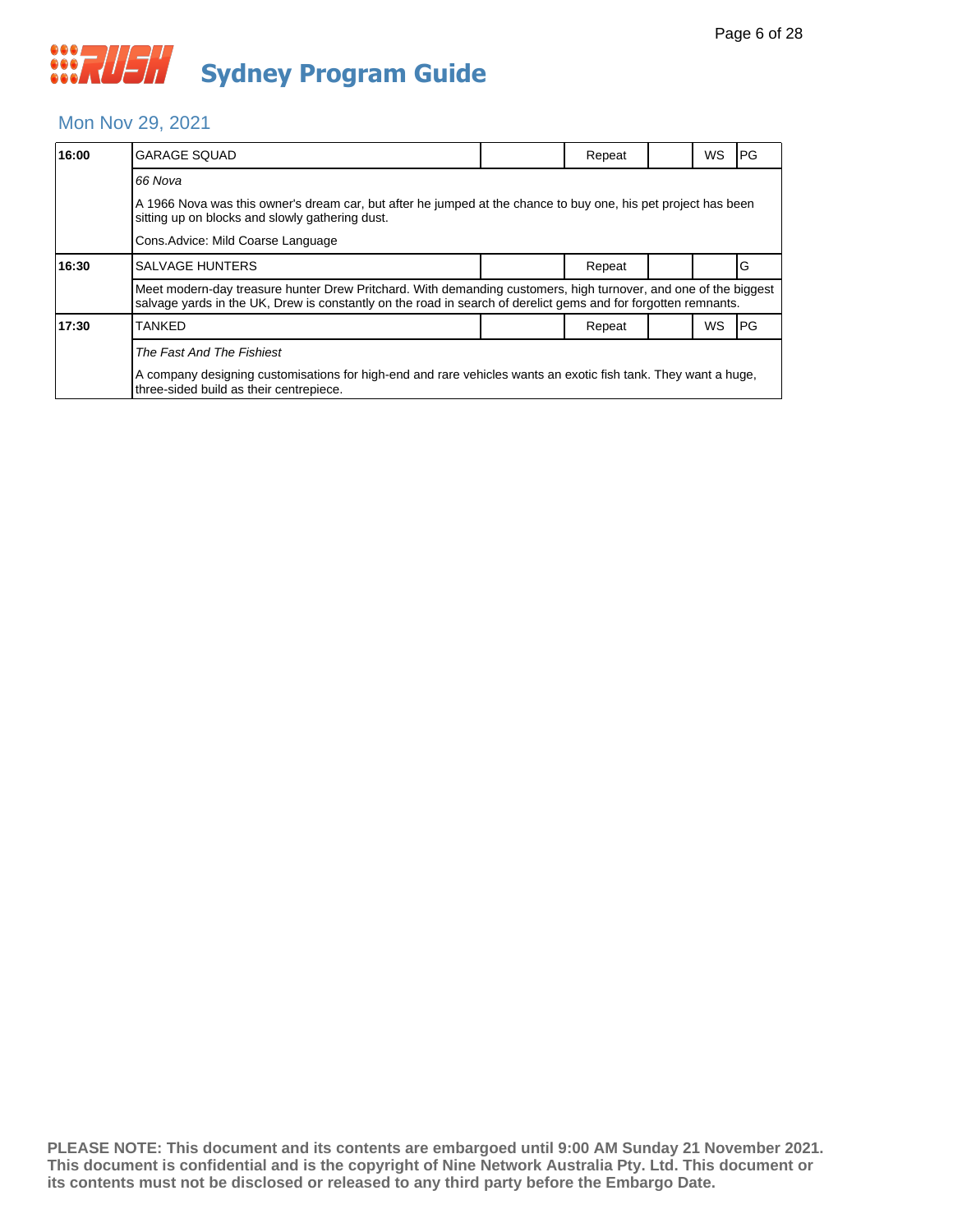#### Mon Nov 29, 2021

| 16:00 | <b>GARAGE SQUAD</b>                                                                                                                                                                                                               |  | Repeat |  | WS | l PG |  |  |
|-------|-----------------------------------------------------------------------------------------------------------------------------------------------------------------------------------------------------------------------------------|--|--------|--|----|------|--|--|
|       | 66 Nova                                                                                                                                                                                                                           |  |        |  |    |      |  |  |
|       | A 1966 Nova was this owner's dream car, but after he jumped at the chance to buy one, his pet project has been<br>sitting up on blocks and slowly gathering dust.                                                                 |  |        |  |    |      |  |  |
|       | Cons. Advice: Mild Coarse Language                                                                                                                                                                                                |  |        |  |    |      |  |  |
| 16:30 | <b>SALVAGE HUNTERS</b>                                                                                                                                                                                                            |  | Repeat |  |    | G    |  |  |
|       | Meet modern-day treasure hunter Drew Pritchard. With demanding customers, high turnover, and one of the biggest<br>salvage yards in the UK, Drew is constantly on the road in search of derelict gems and for forgotten remnants. |  |        |  |    |      |  |  |
| 17:30 | TANKED                                                                                                                                                                                                                            |  | Repeat |  | WS | l PG |  |  |
|       | The Fast And The Fishiest                                                                                                                                                                                                         |  |        |  |    |      |  |  |
|       | A company designing customisations for high-end and rare vehicles wants an exotic fish tank. They want a huge,<br>three-sided build as their centrepiece.                                                                         |  |        |  |    |      |  |  |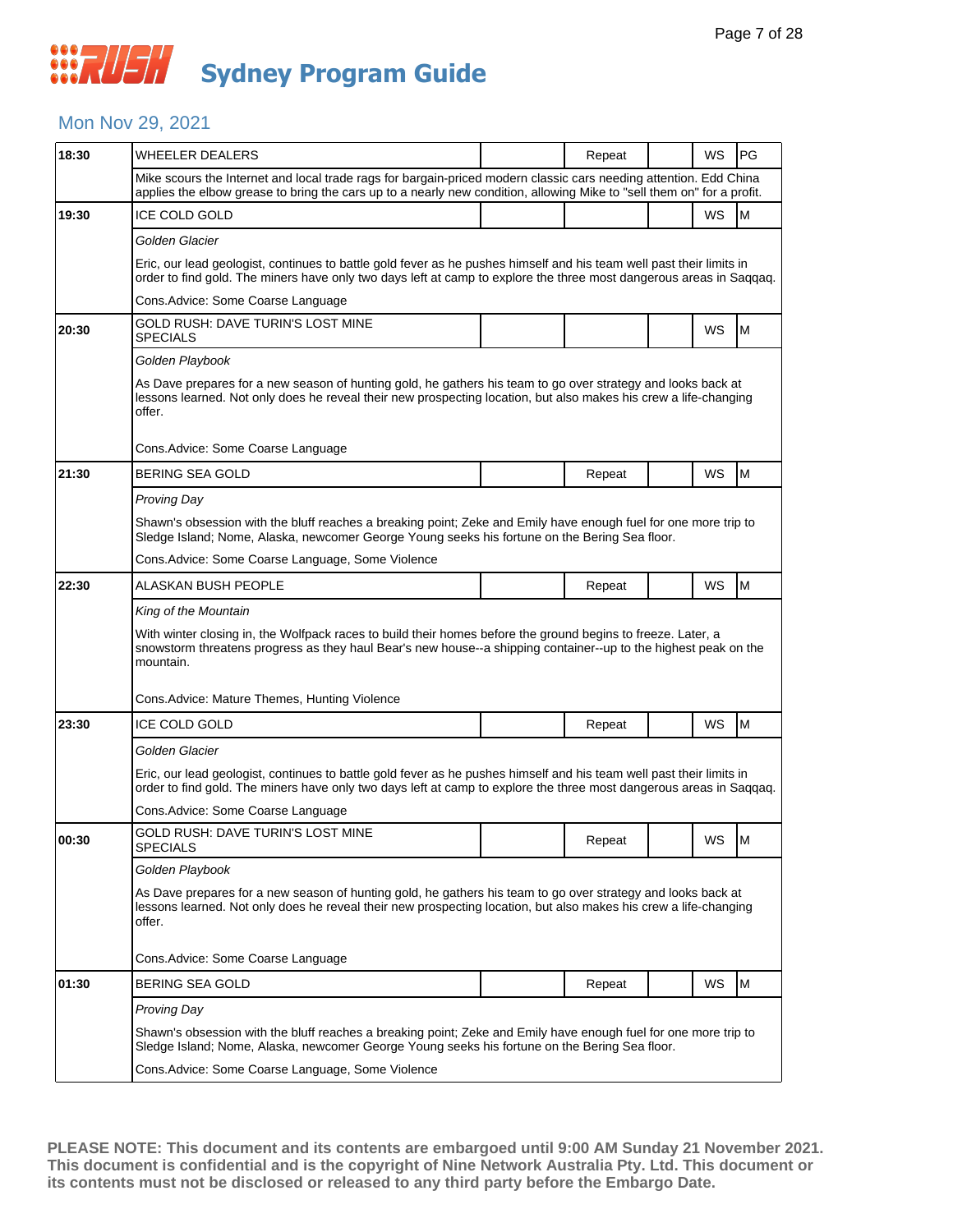#### Mon Nov 29, 2021

| 18:30 | <b>WHEELER DEALERS</b>                                                                                                                                                                                                                       |                                                                                                                                                                                                                  | Repeat |  | WS | PG |  |  |  |
|-------|----------------------------------------------------------------------------------------------------------------------------------------------------------------------------------------------------------------------------------------------|------------------------------------------------------------------------------------------------------------------------------------------------------------------------------------------------------------------|--------|--|----|----|--|--|--|
|       | Mike scours the Internet and local trade rags for bargain-priced modern classic cars needing attention. Edd China<br>applies the elbow grease to bring the cars up to a nearly new condition, allowing Mike to "sell them on" for a profit.  |                                                                                                                                                                                                                  |        |  |    |    |  |  |  |
| 19:30 | ICE COLD GOLD                                                                                                                                                                                                                                |                                                                                                                                                                                                                  |        |  | WS | M  |  |  |  |
|       | Golden Glacier                                                                                                                                                                                                                               |                                                                                                                                                                                                                  |        |  |    |    |  |  |  |
|       | Eric, our lead geologist, continues to battle gold fever as he pushes himself and his team well past their limits in<br>order to find gold. The miners have only two days left at camp to explore the three most dangerous areas in Saqqaq.  |                                                                                                                                                                                                                  |        |  |    |    |  |  |  |
|       | Cons. Advice: Some Coarse Language                                                                                                                                                                                                           |                                                                                                                                                                                                                  |        |  |    |    |  |  |  |
| 20:30 | GOLD RUSH: DAVE TURIN'S LOST MINE<br><b>SPECIALS</b>                                                                                                                                                                                         |                                                                                                                                                                                                                  |        |  | WS | М  |  |  |  |
|       | Golden Playbook                                                                                                                                                                                                                              |                                                                                                                                                                                                                  |        |  |    |    |  |  |  |
|       | As Dave prepares for a new season of hunting gold, he gathers his team to go over strategy and looks back at<br>lessons learned. Not only does he reveal their new prospecting location, but also makes his crew a life-changing<br>offer.   |                                                                                                                                                                                                                  |        |  |    |    |  |  |  |
|       | Cons. Advice: Some Coarse Language                                                                                                                                                                                                           |                                                                                                                                                                                                                  |        |  |    |    |  |  |  |
| 21:30 | <b>BERING SEA GOLD</b>                                                                                                                                                                                                                       |                                                                                                                                                                                                                  | Repeat |  | WS | M  |  |  |  |
|       | Proving Day                                                                                                                                                                                                                                  |                                                                                                                                                                                                                  |        |  |    |    |  |  |  |
|       | Shawn's obsession with the bluff reaches a breaking point; Zeke and Emily have enough fuel for one more trip to<br>Sledge Island; Nome, Alaska, newcomer George Young seeks his fortune on the Bering Sea floor.                             |                                                                                                                                                                                                                  |        |  |    |    |  |  |  |
|       | Cons. Advice: Some Coarse Language, Some Violence                                                                                                                                                                                            |                                                                                                                                                                                                                  |        |  |    |    |  |  |  |
| 22:30 | ALASKAN BUSH PEOPLE                                                                                                                                                                                                                          |                                                                                                                                                                                                                  | Repeat |  | WS | M  |  |  |  |
|       | King of the Mountain                                                                                                                                                                                                                         |                                                                                                                                                                                                                  |        |  |    |    |  |  |  |
|       | With winter closing in, the Wolfpack races to build their homes before the ground begins to freeze. Later, a<br>snowstorm threatens progress as they haul Bear's new house--a shipping container--up to the highest peak on the<br>mountain. |                                                                                                                                                                                                                  |        |  |    |    |  |  |  |
|       | Cons.Advice: Mature Themes, Hunting Violence                                                                                                                                                                                                 |                                                                                                                                                                                                                  |        |  |    |    |  |  |  |
| 23:30 | <b>ICE COLD GOLD</b>                                                                                                                                                                                                                         |                                                                                                                                                                                                                  | Repeat |  | WS | M  |  |  |  |
|       | Golden Glacier                                                                                                                                                                                                                               |                                                                                                                                                                                                                  |        |  |    |    |  |  |  |
|       | Eric, our lead geologist, continues to battle gold fever as he pushes himself and his team well past their limits in<br>order to find gold. The miners have only two days left at camp to explore the three most dangerous areas in Saqqaq.  |                                                                                                                                                                                                                  |        |  |    |    |  |  |  |
|       | Cons.Advice: Some Coarse Language                                                                                                                                                                                                            |                                                                                                                                                                                                                  |        |  |    |    |  |  |  |
| 00:30 | GOLD RUSH: DAVE TURIN'S LOST MINE<br>SPECIALS                                                                                                                                                                                                |                                                                                                                                                                                                                  | Repeat |  | WS | M  |  |  |  |
|       | Golden Playbook                                                                                                                                                                                                                              |                                                                                                                                                                                                                  |        |  |    |    |  |  |  |
|       | As Dave prepares for a new season of hunting gold, he gathers his team to go over strategy and looks back at<br>lessons learned. Not only does he reveal their new prospecting location, but also makes his crew a life-changing<br>offer.   |                                                                                                                                                                                                                  |        |  |    |    |  |  |  |
|       | Cons.Advice: Some Coarse Language                                                                                                                                                                                                            |                                                                                                                                                                                                                  |        |  |    |    |  |  |  |
| 01:30 | BERING SEA GOLD                                                                                                                                                                                                                              |                                                                                                                                                                                                                  | Repeat |  | WS | M  |  |  |  |
|       | Proving Day                                                                                                                                                                                                                                  |                                                                                                                                                                                                                  |        |  |    |    |  |  |  |
|       |                                                                                                                                                                                                                                              | Shawn's obsession with the bluff reaches a breaking point; Zeke and Emily have enough fuel for one more trip to<br>Sledge Island; Nome, Alaska, newcomer George Young seeks his fortune on the Bering Sea floor. |        |  |    |    |  |  |  |
|       | Cons. Advice: Some Coarse Language, Some Violence                                                                                                                                                                                            |                                                                                                                                                                                                                  |        |  |    |    |  |  |  |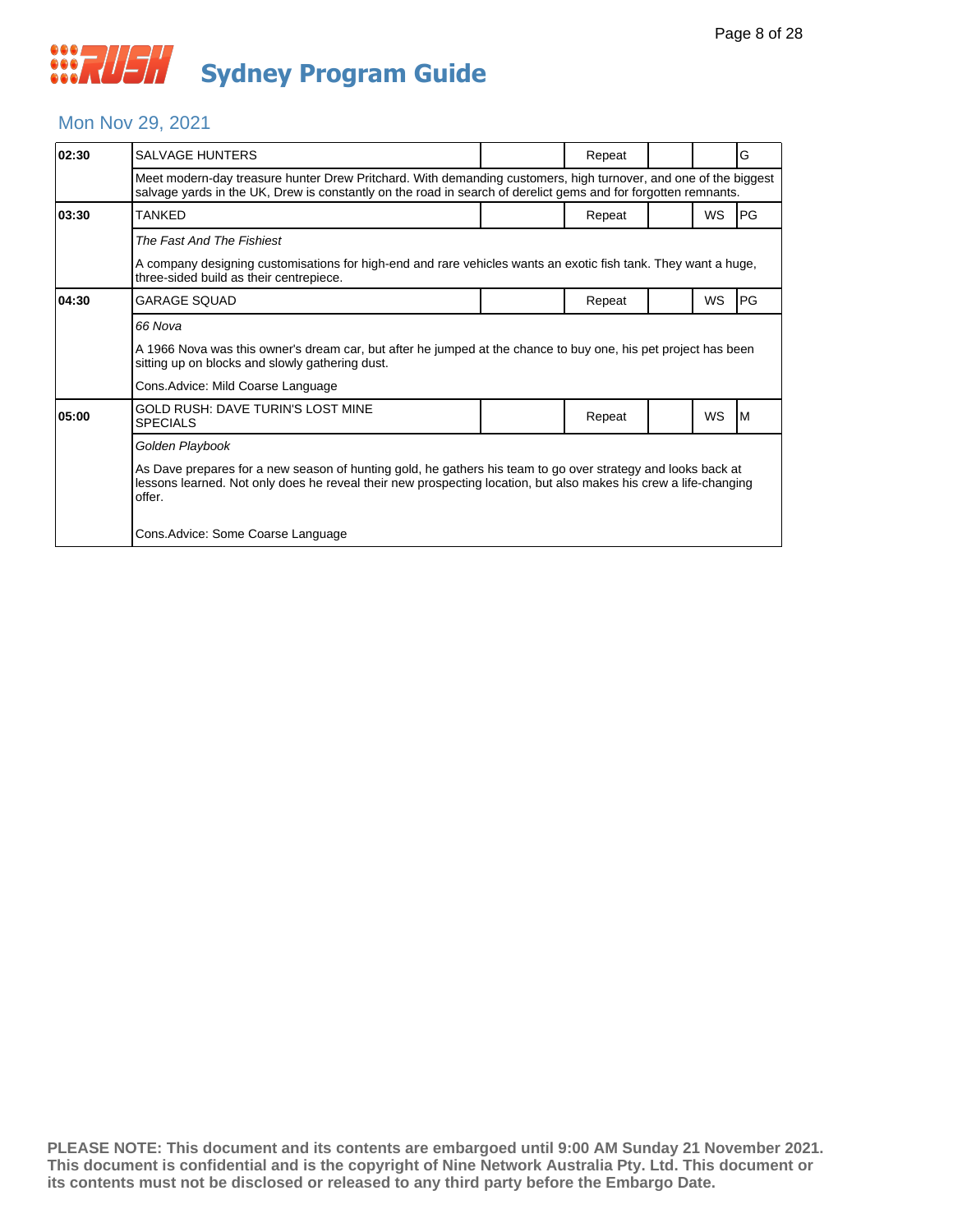#### Mon Nov 29, 2021

| 02:30 | <b>SALVAGE HUNTERS</b>                                                                                                                                                                                                                                                                              |  | Repeat |  |           | G         |  |  |
|-------|-----------------------------------------------------------------------------------------------------------------------------------------------------------------------------------------------------------------------------------------------------------------------------------------------------|--|--------|--|-----------|-----------|--|--|
|       | Meet modern-day treasure hunter Drew Pritchard. With demanding customers, high turnover, and one of the biggest<br>salvage yards in the UK, Drew is constantly on the road in search of derelict gems and for forgotten remnants.                                                                   |  |        |  |           |           |  |  |
| 03:30 | <b>TANKFD</b>                                                                                                                                                                                                                                                                                       |  | Repeat |  | <b>WS</b> | <b>PG</b> |  |  |
|       | The Fast And The Fishiest<br>A company designing customisations for high-end and rare vehicles wants an exotic fish tank. They want a huge,<br>three-sided build as their centrepiece.                                                                                                              |  |        |  |           |           |  |  |
| 04:30 | <b>GARAGE SOUAD</b>                                                                                                                                                                                                                                                                                 |  | Repeat |  | WS        | <b>PG</b> |  |  |
|       | 66 Nova<br>A 1966 Nova was this owner's dream car, but after he jumped at the chance to buy one, his pet project has been<br>sitting up on blocks and slowly gathering dust.<br>Cons. Advice: Mild Coarse Language                                                                                  |  |        |  |           |           |  |  |
| 05:00 | GOLD RUSH: DAVE TURIN'S LOST MINE<br><b>SPECIALS</b>                                                                                                                                                                                                                                                |  | Repeat |  | <b>WS</b> | IМ        |  |  |
|       | Golden Playbook<br>As Dave prepares for a new season of hunting gold, he gathers his team to go over strategy and looks back at<br>lessons learned. Not only does he reveal their new prospecting location, but also makes his crew a life-changing<br>offer.<br>Cons. Advice: Some Coarse Language |  |        |  |           |           |  |  |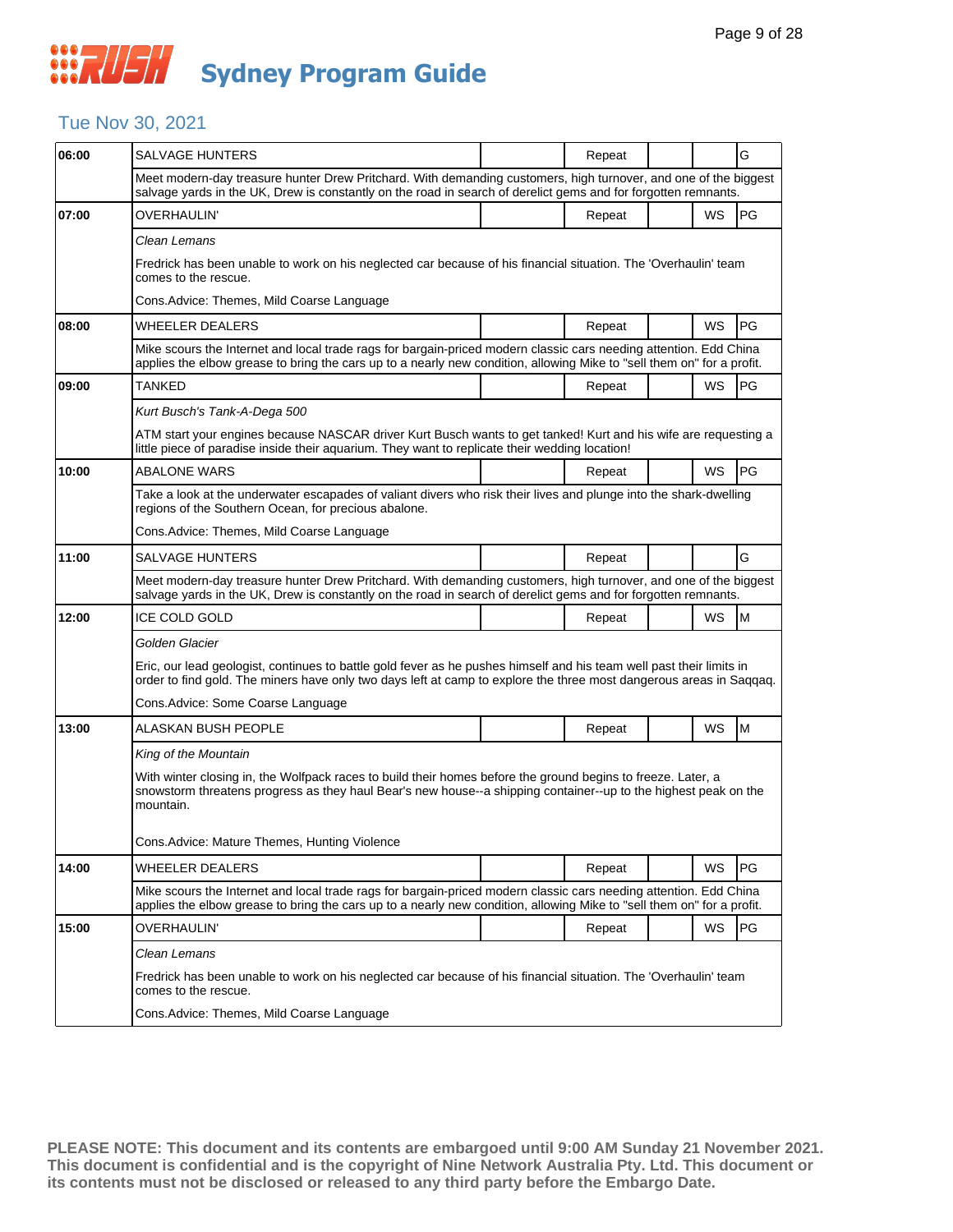#### Tue Nov 30, 2021

| 06:00 | <b>SALVAGE HUNTERS</b>                                                                                                                                                                                                                       |  | Repeat |  |    | G  |  |  |
|-------|----------------------------------------------------------------------------------------------------------------------------------------------------------------------------------------------------------------------------------------------|--|--------|--|----|----|--|--|
|       | Meet modern-day treasure hunter Drew Pritchard. With demanding customers, high turnover, and one of the biggest<br>salvage yards in the UK, Drew is constantly on the road in search of derelict gems and for forgotten remnants.            |  |        |  |    |    |  |  |
| 07:00 | OVERHAULIN'                                                                                                                                                                                                                                  |  | Repeat |  | WS | PG |  |  |
|       | Clean Lemans                                                                                                                                                                                                                                 |  |        |  |    |    |  |  |
|       | Fredrick has been unable to work on his neglected car because of his financial situation. The 'Overhaulin' team<br>comes to the rescue.                                                                                                      |  |        |  |    |    |  |  |
|       | Cons.Advice: Themes, Mild Coarse Language                                                                                                                                                                                                    |  |        |  |    |    |  |  |
| 08:00 | WHEELER DEALERS                                                                                                                                                                                                                              |  | Repeat |  | WS | PG |  |  |
|       | Mike scours the Internet and local trade rags for bargain-priced modern classic cars needing attention. Edd China<br>applies the elbow grease to bring the cars up to a nearly new condition, allowing Mike to "sell them on" for a profit.  |  |        |  |    |    |  |  |
| 09:00 | TANKED                                                                                                                                                                                                                                       |  | Repeat |  | WS | PG |  |  |
|       | Kurt Busch's Tank-A-Dega 500                                                                                                                                                                                                                 |  |        |  |    |    |  |  |
|       | ATM start your engines because NASCAR driver Kurt Busch wants to get tanked! Kurt and his wife are requesting a<br>little piece of paradise inside their aquarium. They want to replicate their wedding location!                            |  |        |  |    |    |  |  |
| 10:00 | ABALONE WARS                                                                                                                                                                                                                                 |  | Repeat |  | WS | PG |  |  |
|       | Take a look at the underwater escapades of valiant divers who risk their lives and plunge into the shark-dwelling<br>regions of the Southern Ocean, for precious abalone.                                                                    |  |        |  |    |    |  |  |
|       | Cons.Advice: Themes, Mild Coarse Language                                                                                                                                                                                                    |  |        |  |    |    |  |  |
| 11:00 | <b>SALVAGE HUNTERS</b>                                                                                                                                                                                                                       |  | Repeat |  |    | G  |  |  |
|       | Meet modern-day treasure hunter Drew Pritchard. With demanding customers, high turnover, and one of the biggest<br>salvage yards in the UK, Drew is constantly on the road in search of derelict gems and for forgotten remnants.            |  |        |  |    |    |  |  |
| 12:00 | <b>ICE COLD GOLD</b>                                                                                                                                                                                                                         |  | Repeat |  | WS | M  |  |  |
|       | Golden Glacier                                                                                                                                                                                                                               |  |        |  |    |    |  |  |
|       | Eric, our lead geologist, continues to battle gold fever as he pushes himself and his team well past their limits in<br>order to find gold. The miners have only two days left at camp to explore the three most dangerous areas in Saqqaq.  |  |        |  |    |    |  |  |
|       | Cons.Advice: Some Coarse Language                                                                                                                                                                                                            |  |        |  |    |    |  |  |
| 13:00 | ALASKAN BUSH PEOPLE                                                                                                                                                                                                                          |  | Repeat |  | WS | M  |  |  |
|       | King of the Mountain                                                                                                                                                                                                                         |  |        |  |    |    |  |  |
|       | With winter closing in, the Wolfpack races to build their homes before the ground begins to freeze. Later, a<br>snowstorm threatens progress as they haul Bear's new house--a shipping container--up to the highest peak on the<br>mountain. |  |        |  |    |    |  |  |
|       | Cons.Advice: Mature Themes, Hunting Violence                                                                                                                                                                                                 |  |        |  |    |    |  |  |
| 14:00 | WHEELER DEALERS                                                                                                                                                                                                                              |  | Repeat |  | WS | PG |  |  |
|       | Mike scours the Internet and local trade rags for bargain-priced modern classic cars needing attention. Edd China<br>applies the elbow grease to bring the cars up to a nearly new condition, allowing Mike to "sell them on" for a profit.  |  |        |  |    |    |  |  |
| 15:00 | OVERHAULIN'                                                                                                                                                                                                                                  |  | Repeat |  | WS | PG |  |  |
|       | Clean Lemans                                                                                                                                                                                                                                 |  |        |  |    |    |  |  |
|       | Fredrick has been unable to work on his neglected car because of his financial situation. The 'Overhaulin' team<br>comes to the rescue.                                                                                                      |  |        |  |    |    |  |  |
|       | Cons.Advice: Themes, Mild Coarse Language                                                                                                                                                                                                    |  |        |  |    |    |  |  |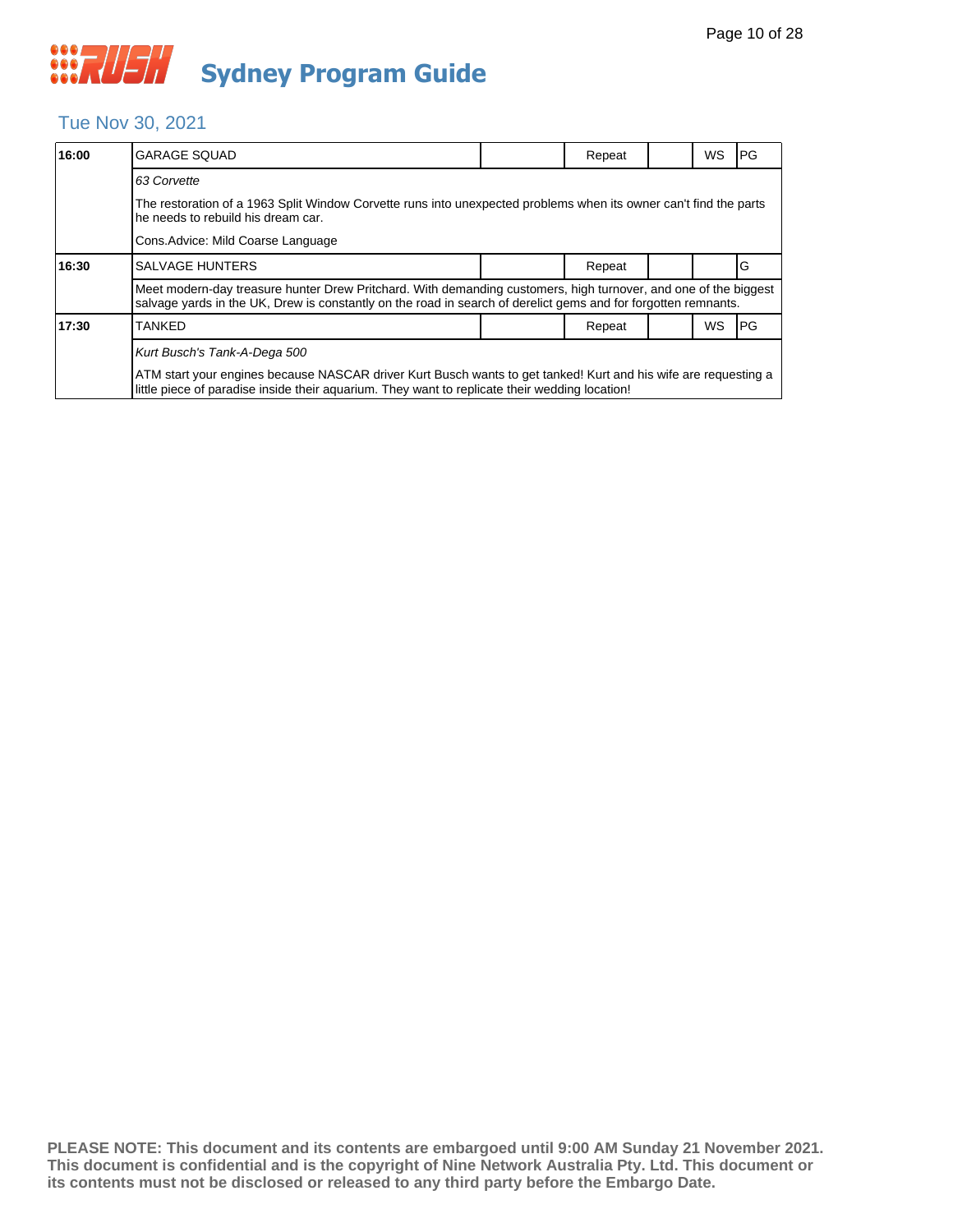#### Tue Nov 30, 2021

| 16:00 | <b>GARAGE SQUAD</b>                                                                                                                                                                                                               |  | Repeat |  | WS | <b>PG</b> |  |  |  |
|-------|-----------------------------------------------------------------------------------------------------------------------------------------------------------------------------------------------------------------------------------|--|--------|--|----|-----------|--|--|--|
|       | 63 Corvette                                                                                                                                                                                                                       |  |        |  |    |           |  |  |  |
|       | The restoration of a 1963 Split Window Corvette runs into unexpected problems when its owner can't find the parts<br>he needs to rebuild his dream car.                                                                           |  |        |  |    |           |  |  |  |
|       | Cons. Advice: Mild Coarse Language                                                                                                                                                                                                |  |        |  |    |           |  |  |  |
| 16:30 | <b>SALVAGE HUNTERS</b>                                                                                                                                                                                                            |  | Repeat |  |    | G         |  |  |  |
|       | Meet modern-day treasure hunter Drew Pritchard. With demanding customers, high turnover, and one of the biggest<br>salvage yards in the UK, Drew is constantly on the road in search of derelict gems and for forgotten remnants. |  |        |  |    |           |  |  |  |
| 17:30 | <b>TANKED</b>                                                                                                                                                                                                                     |  | Repeat |  | WS | <b>PG</b> |  |  |  |
|       | Kurt Busch's Tank-A-Dega 500                                                                                                                                                                                                      |  |        |  |    |           |  |  |  |
|       | ATM start your engines because NASCAR driver Kurt Busch wants to get tanked! Kurt and his wife are requesting a<br>little piece of paradise inside their aguarium. They want to replicate their wedding location!                 |  |        |  |    |           |  |  |  |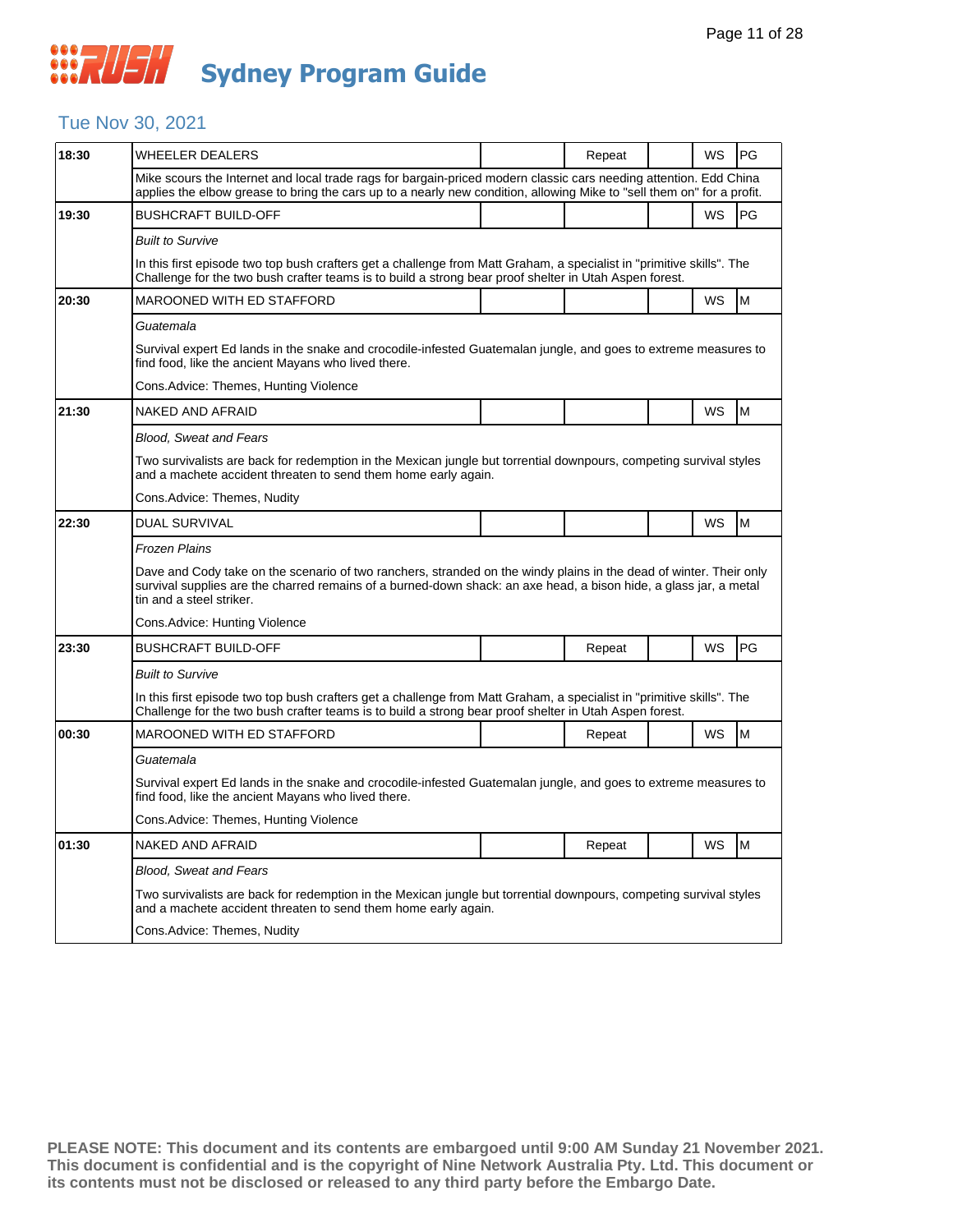#### Tue Nov 30, 2021

| 18:30 | WHEELER DEALERS                                                                                                                                                                                                                                                     |  | Repeat |  | WS | PG |  |  |  |
|-------|---------------------------------------------------------------------------------------------------------------------------------------------------------------------------------------------------------------------------------------------------------------------|--|--------|--|----|----|--|--|--|
|       | Mike scours the Internet and local trade rags for bargain-priced modern classic cars needing attention. Edd China<br>applies the elbow grease to bring the cars up to a nearly new condition, allowing Mike to "sell them on" for a profit.                         |  |        |  |    |    |  |  |  |
| 19:30 | <b>BUSHCRAFT BUILD-OFF</b>                                                                                                                                                                                                                                          |  |        |  | WS | PG |  |  |  |
|       | <b>Built to Survive</b>                                                                                                                                                                                                                                             |  |        |  |    |    |  |  |  |
|       | In this first episode two top bush crafters get a challenge from Matt Graham, a specialist in "primitive skills". The<br>Challenge for the two bush crafter teams is to build a strong bear proof shelter in Utah Aspen forest.                                     |  |        |  |    |    |  |  |  |
| 20:30 | MAROONED WITH ED STAFFORD                                                                                                                                                                                                                                           |  |        |  | WS | M  |  |  |  |
|       | Guatemala                                                                                                                                                                                                                                                           |  |        |  |    |    |  |  |  |
|       | Survival expert Ed lands in the snake and crocodile-infested Guatemalan jungle, and goes to extreme measures to<br>find food, like the ancient Mayans who lived there.                                                                                              |  |        |  |    |    |  |  |  |
|       | Cons. Advice: Themes, Hunting Violence                                                                                                                                                                                                                              |  |        |  |    |    |  |  |  |
| 21:30 | NAKED AND AFRAID                                                                                                                                                                                                                                                    |  |        |  | WS | M  |  |  |  |
|       | <b>Blood, Sweat and Fears</b>                                                                                                                                                                                                                                       |  |        |  |    |    |  |  |  |
|       | Two survivalists are back for redemption in the Mexican jungle but torrential downpours, competing survival styles<br>and a machete accident threaten to send them home early again.                                                                                |  |        |  |    |    |  |  |  |
|       | Cons.Advice: Themes, Nudity                                                                                                                                                                                                                                         |  |        |  |    |    |  |  |  |
| 22:30 | <b>DUAL SURVIVAL</b>                                                                                                                                                                                                                                                |  |        |  | WS | M  |  |  |  |
|       | Frozen Plains                                                                                                                                                                                                                                                       |  |        |  |    |    |  |  |  |
|       | Dave and Cody take on the scenario of two ranchers, stranded on the windy plains in the dead of winter. Their only<br>survival supplies are the charred remains of a burned-down shack: an axe head, a bison hide, a glass jar, a metal<br>tin and a steel striker. |  |        |  |    |    |  |  |  |
|       | Cons. Advice: Hunting Violence                                                                                                                                                                                                                                      |  |        |  |    |    |  |  |  |
| 23:30 | <b>BUSHCRAFT BUILD-OFF</b>                                                                                                                                                                                                                                          |  | Repeat |  | WS | PG |  |  |  |
|       | <b>Built to Survive</b>                                                                                                                                                                                                                                             |  |        |  |    |    |  |  |  |
|       | In this first episode two top bush crafters get a challenge from Matt Graham, a specialist in "primitive skills". The<br>Challenge for the two bush crafter teams is to build a strong bear proof shelter in Utah Aspen forest.                                     |  |        |  |    |    |  |  |  |
| 00:30 | <b>MAROONED WITH ED STAFFORD</b>                                                                                                                                                                                                                                    |  | Repeat |  | WS | M  |  |  |  |
|       | Guatemala                                                                                                                                                                                                                                                           |  |        |  |    |    |  |  |  |
|       | Survival expert Ed lands in the snake and crocodile-infested Guatemalan jungle, and goes to extreme measures to<br>find food, like the ancient Mayans who lived there.                                                                                              |  |        |  |    |    |  |  |  |
|       | Cons.Advice: Themes, Hunting Violence                                                                                                                                                                                                                               |  |        |  |    |    |  |  |  |
| 01:30 | NAKED AND AFRAID                                                                                                                                                                                                                                                    |  | Repeat |  | WS | M  |  |  |  |
|       | <b>Blood, Sweat and Fears</b>                                                                                                                                                                                                                                       |  |        |  |    |    |  |  |  |
|       | Two survivalists are back for redemption in the Mexican jungle but torrential downpours, competing survival styles<br>and a machete accident threaten to send them home early again.                                                                                |  |        |  |    |    |  |  |  |
|       | Cons.Advice: Themes, Nudity                                                                                                                                                                                                                                         |  |        |  |    |    |  |  |  |
|       |                                                                                                                                                                                                                                                                     |  |        |  |    |    |  |  |  |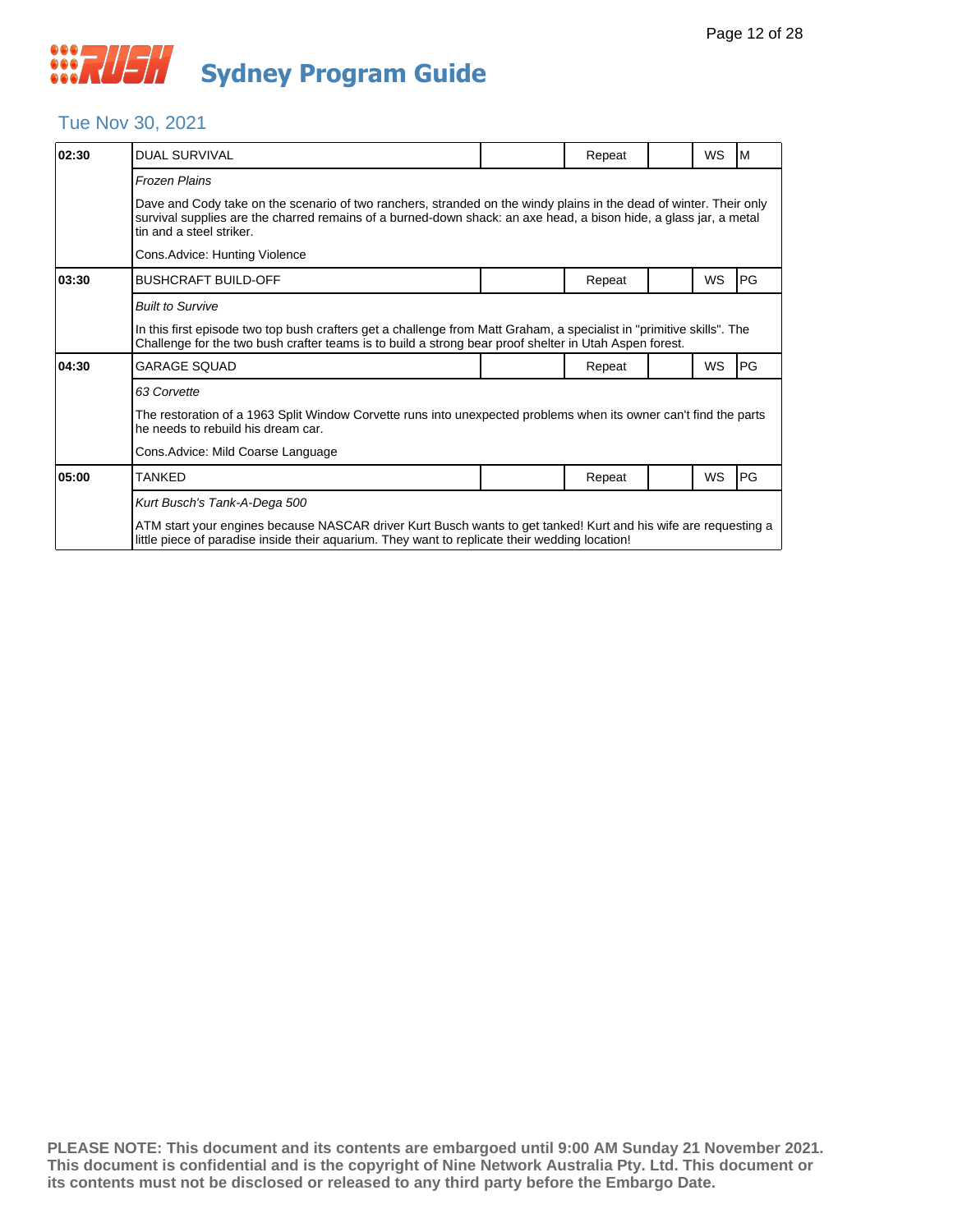#### Tue Nov 30, 2021

| 02:30 | <b>DUAL SURVIVAL</b>                                                                                                                                                                                                                                                |  | Repeat |  | <b>WS</b> | M         |  |  |  |
|-------|---------------------------------------------------------------------------------------------------------------------------------------------------------------------------------------------------------------------------------------------------------------------|--|--------|--|-----------|-----------|--|--|--|
|       | <b>Frozen Plains</b>                                                                                                                                                                                                                                                |  |        |  |           |           |  |  |  |
|       | Dave and Cody take on the scenario of two ranchers, stranded on the windy plains in the dead of winter. Their only<br>survival supplies are the charred remains of a burned-down shack: an axe head, a bison hide, a glass jar, a metal<br>tin and a steel striker. |  |        |  |           |           |  |  |  |
|       | Cons. Advice: Hunting Violence                                                                                                                                                                                                                                      |  |        |  |           |           |  |  |  |
| 03:30 | <b>BUSHCRAFT BUILD-OFF</b>                                                                                                                                                                                                                                          |  | Repeat |  | <b>WS</b> | <b>PG</b> |  |  |  |
|       | <b>Built to Survive</b>                                                                                                                                                                                                                                             |  |        |  |           |           |  |  |  |
|       | In this first episode two top bush crafters get a challenge from Matt Graham, a specialist in "primitive skills". The<br>Challenge for the two bush crafter teams is to build a strong bear proof shelter in Utah Aspen forest.                                     |  |        |  |           |           |  |  |  |
| 04:30 | <b>GARAGE SOUAD</b>                                                                                                                                                                                                                                                 |  | Repeat |  | WS        | PG        |  |  |  |
|       | 63 Corvette                                                                                                                                                                                                                                                         |  |        |  |           |           |  |  |  |
|       | The restoration of a 1963 Split Window Corvette runs into unexpected problems when its owner can't find the parts<br>he needs to rebuild his dream car.                                                                                                             |  |        |  |           |           |  |  |  |
|       | Cons. Advice: Mild Coarse Language                                                                                                                                                                                                                                  |  |        |  |           |           |  |  |  |
| 05:00 | TANKED                                                                                                                                                                                                                                                              |  | Repeat |  | WS        | PG        |  |  |  |
|       | Kurt Busch's Tank-A-Dega 500                                                                                                                                                                                                                                        |  |        |  |           |           |  |  |  |
|       | ATM start your engines because NASCAR driver Kurt Busch wants to get tanked! Kurt and his wife are requesting a<br>little piece of paradise inside their aquarium. They want to replicate their wedding location!                                                   |  |        |  |           |           |  |  |  |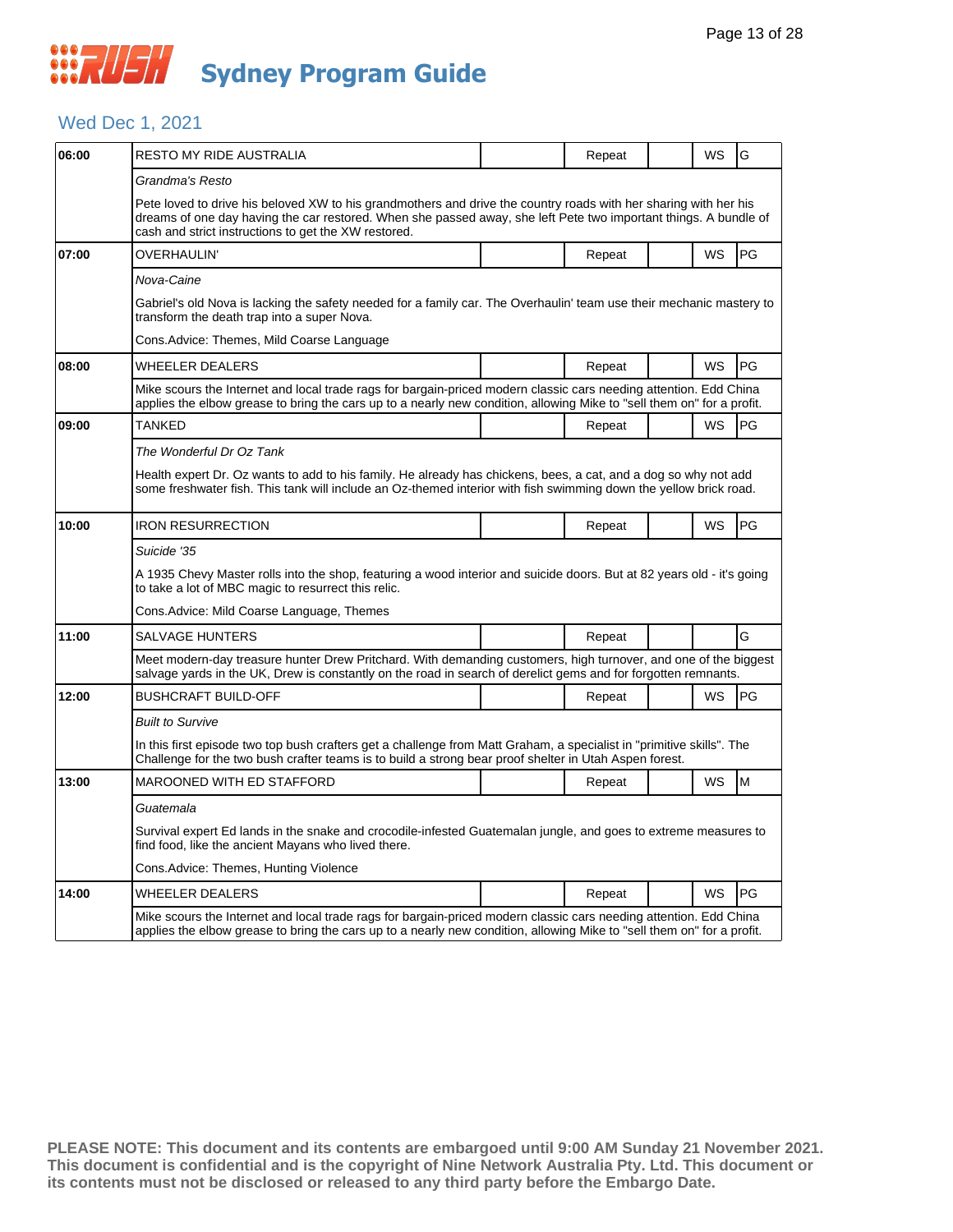

#### Wed Dec 1, 2021

| 06:00 | RESTO MY RIDE AUSTRALIA                                                                                                                                                                                                                                                                      |                                                                                                                      | Repeat |  | <b>WS</b> | G  |  |  |  |  |
|-------|----------------------------------------------------------------------------------------------------------------------------------------------------------------------------------------------------------------------------------------------------------------------------------------------|----------------------------------------------------------------------------------------------------------------------|--------|--|-----------|----|--|--|--|--|
|       | Grandma's Resto                                                                                                                                                                                                                                                                              |                                                                                                                      |        |  |           |    |  |  |  |  |
|       | Pete loved to drive his beloved XW to his grandmothers and drive the country roads with her sharing with her his<br>dreams of one day having the car restored. When she passed away, she left Pete two important things. A bundle of<br>cash and strict instructions to get the XW restored. |                                                                                                                      |        |  |           |    |  |  |  |  |
| 07:00 | OVERHAULIN'                                                                                                                                                                                                                                                                                  |                                                                                                                      | Repeat |  | WS        | PG |  |  |  |  |
|       | Nova-Caine                                                                                                                                                                                                                                                                                   |                                                                                                                      |        |  |           |    |  |  |  |  |
|       | transform the death trap into a super Nova.                                                                                                                                                                                                                                                  | Gabriel's old Nova is lacking the safety needed for a family car. The Overhaulin' team use their mechanic mastery to |        |  |           |    |  |  |  |  |
|       | Cons. Advice: Themes, Mild Coarse Language                                                                                                                                                                                                                                                   |                                                                                                                      |        |  |           |    |  |  |  |  |
| 08:00 | <b>WHEELER DEALERS</b>                                                                                                                                                                                                                                                                       |                                                                                                                      | Repeat |  | <b>WS</b> | PG |  |  |  |  |
|       | Mike scours the Internet and local trade rags for bargain-priced modern classic cars needing attention. Edd China<br>applies the elbow grease to bring the cars up to a nearly new condition, allowing Mike to "sell them on" for a profit.                                                  |                                                                                                                      |        |  |           |    |  |  |  |  |
| 09:00 | <b>TANKED</b>                                                                                                                                                                                                                                                                                |                                                                                                                      | Repeat |  | WS        | PG |  |  |  |  |
|       | The Wonderful Dr Oz Tank                                                                                                                                                                                                                                                                     |                                                                                                                      |        |  |           |    |  |  |  |  |
|       | Health expert Dr. Oz wants to add to his family. He already has chickens, bees, a cat, and a dog so why not add<br>some freshwater fish. This tank will include an Oz-themed interior with fish swimming down the yellow brick road.                                                         |                                                                                                                      |        |  |           |    |  |  |  |  |
| 10:00 | <b>IRON RESURRECTION</b>                                                                                                                                                                                                                                                                     |                                                                                                                      | Repeat |  | <b>WS</b> | PG |  |  |  |  |
|       | Suicide '35                                                                                                                                                                                                                                                                                  |                                                                                                                      |        |  |           |    |  |  |  |  |
|       | A 1935 Chevy Master rolls into the shop, featuring a wood interior and suicide doors. But at 82 years old - it's going<br>to take a lot of MBC magic to resurrect this relic.                                                                                                                |                                                                                                                      |        |  |           |    |  |  |  |  |
|       | Cons. Advice: Mild Coarse Language, Themes                                                                                                                                                                                                                                                   |                                                                                                                      |        |  |           |    |  |  |  |  |
| 11:00 | SALVAGE HUNTERS                                                                                                                                                                                                                                                                              |                                                                                                                      | Repeat |  |           | G  |  |  |  |  |
|       | Meet modern-day treasure hunter Drew Pritchard. With demanding customers, high turnover, and one of the biggest<br>salvage yards in the UK, Drew is constantly on the road in search of derelict gems and for forgotten remnants.                                                            |                                                                                                                      |        |  |           |    |  |  |  |  |
| 12:00 | <b>BUSHCRAFT BUILD-OFF</b>                                                                                                                                                                                                                                                                   |                                                                                                                      | Repeat |  | WS        | PG |  |  |  |  |
|       | <b>Built to Survive</b>                                                                                                                                                                                                                                                                      |                                                                                                                      |        |  |           |    |  |  |  |  |
|       | In this first episode two top bush crafters get a challenge from Matt Graham, a specialist in "primitive skills". The<br>Challenge for the two bush crafter teams is to build a strong bear proof shelter in Utah Aspen forest.                                                              |                                                                                                                      |        |  |           |    |  |  |  |  |
| 13:00 | MAROONED WITH ED STAFFORD                                                                                                                                                                                                                                                                    |                                                                                                                      | Repeat |  | WS        | M  |  |  |  |  |
|       | Guatemala                                                                                                                                                                                                                                                                                    |                                                                                                                      |        |  |           |    |  |  |  |  |
|       | Survival expert Ed lands in the snake and crocodile-infested Guatemalan jungle, and goes to extreme measures to<br>find food, like the ancient Mayans who lived there.                                                                                                                       |                                                                                                                      |        |  |           |    |  |  |  |  |
|       | Cons. Advice: Themes, Hunting Violence                                                                                                                                                                                                                                                       |                                                                                                                      |        |  |           |    |  |  |  |  |
| 14:00 | <b>WHEELER DEALERS</b>                                                                                                                                                                                                                                                                       |                                                                                                                      | Repeat |  | <b>WS</b> | PG |  |  |  |  |
|       | Mike scours the Internet and local trade rags for bargain-priced modern classic cars needing attention. Edd China<br>applies the elbow grease to bring the cars up to a nearly new condition, allowing Mike to "sell them on" for a profit.                                                  |                                                                                                                      |        |  |           |    |  |  |  |  |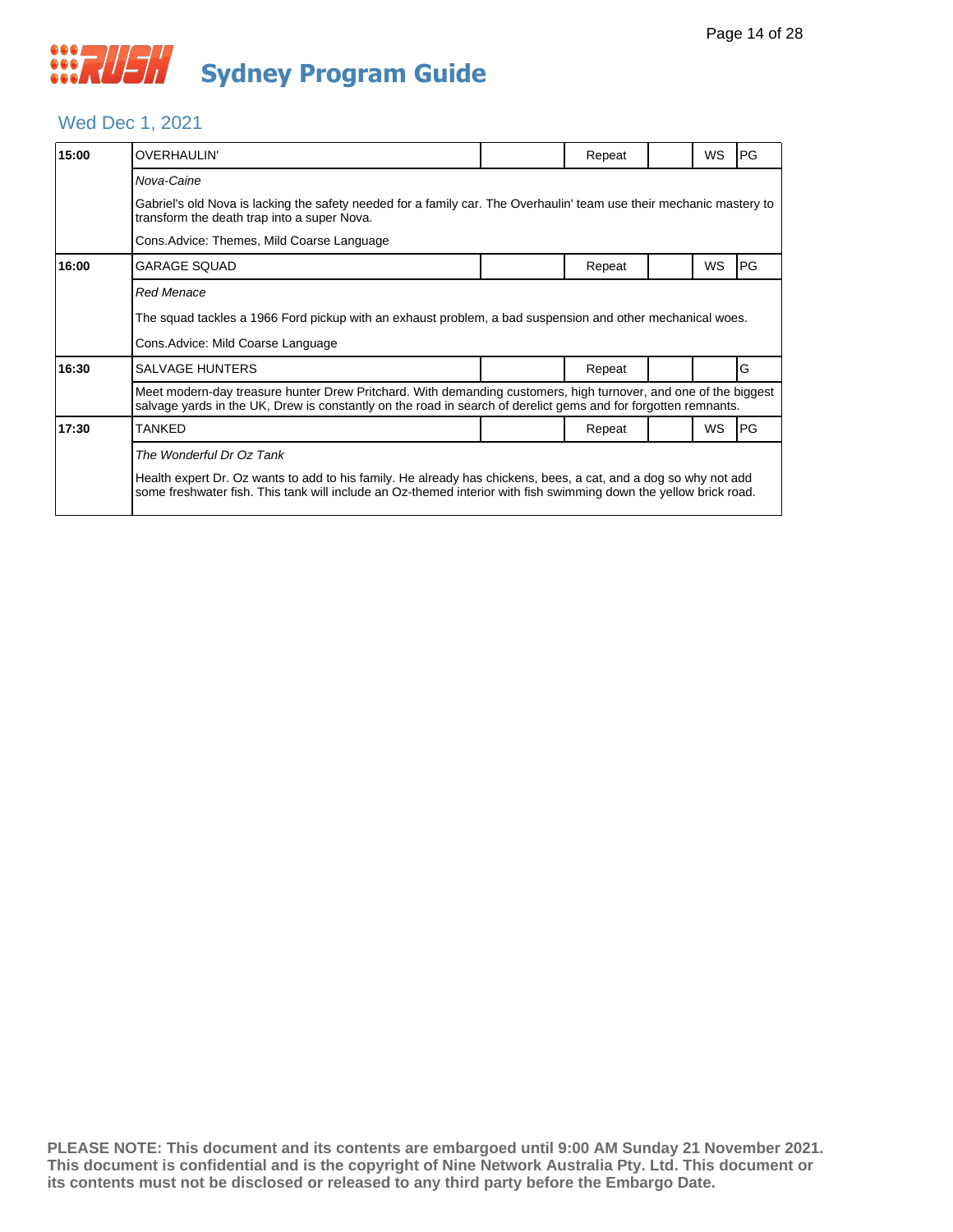#### Wed Dec 1, 2021

| 15:00 | <b>OVERHAULIN'</b>                                                                                                                                                                                                                   |                                                                                                                      | Repeat |  | <b>WS</b> | PG        |  |  |  |  |
|-------|--------------------------------------------------------------------------------------------------------------------------------------------------------------------------------------------------------------------------------------|----------------------------------------------------------------------------------------------------------------------|--------|--|-----------|-----------|--|--|--|--|
|       | Nova-Caine                                                                                                                                                                                                                           |                                                                                                                      |        |  |           |           |  |  |  |  |
|       | transform the death trap into a super Nova.                                                                                                                                                                                          | Gabriel's old Nova is lacking the safety needed for a family car. The Overhaulin' team use their mechanic mastery to |        |  |           |           |  |  |  |  |
|       |                                                                                                                                                                                                                                      |                                                                                                                      |        |  |           |           |  |  |  |  |
| 16:00 | <b>GARAGE SQUAD</b>                                                                                                                                                                                                                  |                                                                                                                      | Repeat |  | WS        | PG        |  |  |  |  |
|       | <b>Red Menace</b>                                                                                                                                                                                                                    |                                                                                                                      |        |  |           |           |  |  |  |  |
|       | The squad tackles a 1966 Ford pickup with an exhaust problem, a bad suspension and other mechanical woes.                                                                                                                            |                                                                                                                      |        |  |           |           |  |  |  |  |
|       | Cons. Advice: Mild Coarse Language                                                                                                                                                                                                   |                                                                                                                      |        |  |           |           |  |  |  |  |
| 16:30 | <b>SALVAGE HUNTERS</b>                                                                                                                                                                                                               |                                                                                                                      | Repeat |  |           | G         |  |  |  |  |
|       | Meet modern-day treasure hunter Drew Pritchard. With demanding customers, high turnover, and one of the biggest<br>salvage yards in the UK, Drew is constantly on the road in search of derelict gems and for forgotten remnants.    |                                                                                                                      |        |  |           |           |  |  |  |  |
| 17:30 | <b>TANKED</b>                                                                                                                                                                                                                        |                                                                                                                      | Repeat |  | <b>WS</b> | <b>PG</b> |  |  |  |  |
|       | The Wonderful Dr Oz Tank                                                                                                                                                                                                             |                                                                                                                      |        |  |           |           |  |  |  |  |
|       | Health expert Dr. Oz wants to add to his family. He already has chickens, bees, a cat, and a dog so why not add<br>some freshwater fish. This tank will include an Oz-themed interior with fish swimming down the yellow brick road. |                                                                                                                      |        |  |           |           |  |  |  |  |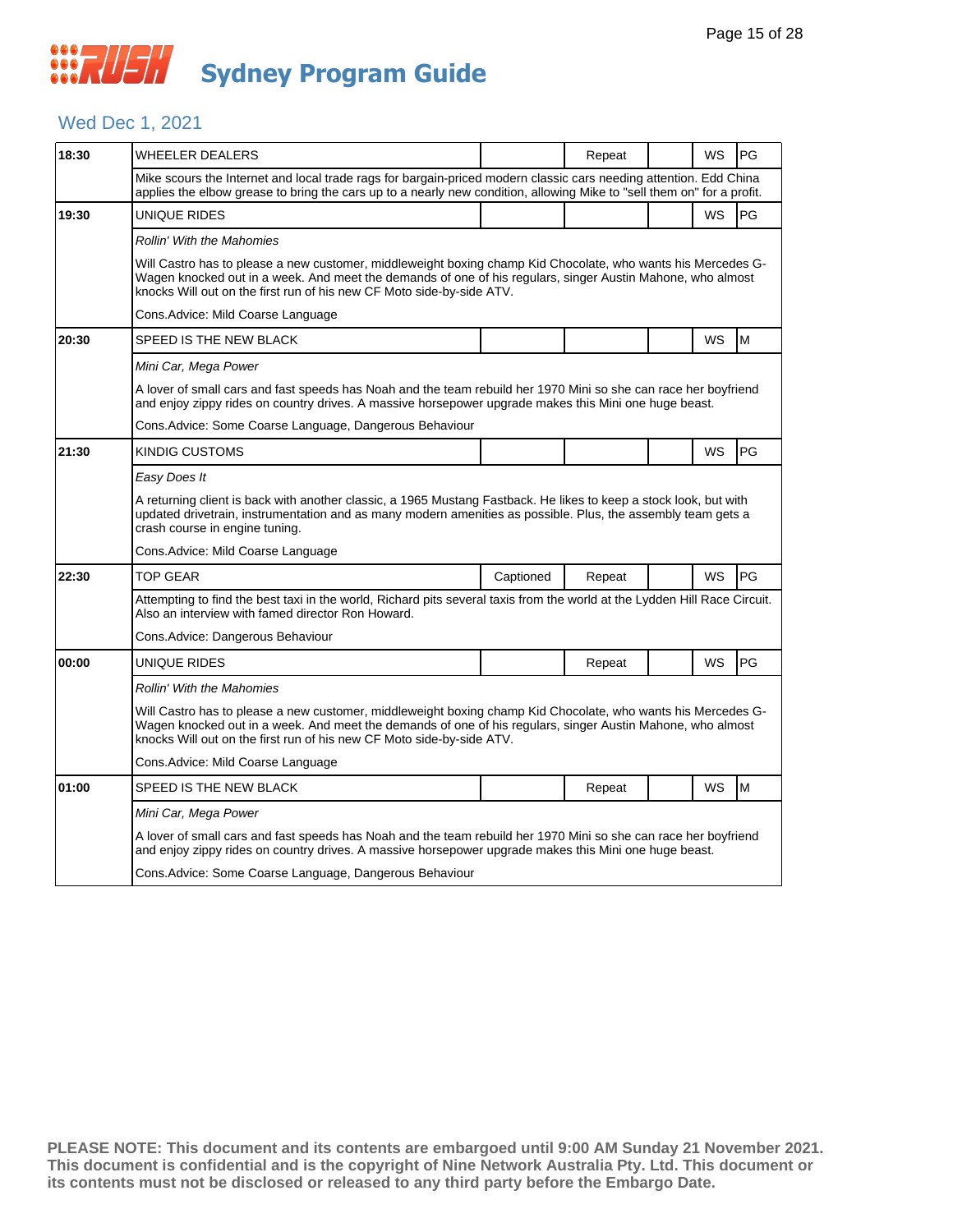#### Wed Dec 1, 2021

| 18:30 | WHEELER DEALERS                                                                                                                                                                                                                                                                                     |           | Repeat |  | WS        | PG        |  |  |  |
|-------|-----------------------------------------------------------------------------------------------------------------------------------------------------------------------------------------------------------------------------------------------------------------------------------------------------|-----------|--------|--|-----------|-----------|--|--|--|
|       | Mike scours the Internet and local trade rags for bargain-priced modern classic cars needing attention. Edd China<br>applies the elbow grease to bring the cars up to a nearly new condition, allowing Mike to "sell them on" for a profit.                                                         |           |        |  |           |           |  |  |  |
| 19:30 | UNIQUE RIDES                                                                                                                                                                                                                                                                                        |           |        |  | <b>WS</b> | PG        |  |  |  |
|       | <b>Rollin' With the Mahomies</b>                                                                                                                                                                                                                                                                    |           |        |  |           |           |  |  |  |
|       | Will Castro has to please a new customer, middleweight boxing champ Kid Chocolate, who wants his Mercedes G-<br>Wagen knocked out in a week. And meet the demands of one of his regulars, singer Austin Mahone, who almost<br>knocks Will out on the first run of his new CF Moto side-by-side ATV. |           |        |  |           |           |  |  |  |
|       | Cons.Advice: Mild Coarse Language                                                                                                                                                                                                                                                                   |           |        |  |           |           |  |  |  |
| 20:30 | SPEED IS THE NEW BLACK                                                                                                                                                                                                                                                                              |           |        |  | <b>WS</b> | M         |  |  |  |
|       | Mini Car, Mega Power                                                                                                                                                                                                                                                                                |           |        |  |           |           |  |  |  |
|       | A lover of small cars and fast speeds has Noah and the team rebuild her 1970 Mini so she can race her boyfriend<br>and enjoy zippy rides on country drives. A massive horsepower upgrade makes this Mini one huge beast.                                                                            |           |        |  |           |           |  |  |  |
|       | Cons.Advice: Some Coarse Language, Dangerous Behaviour                                                                                                                                                                                                                                              |           |        |  |           |           |  |  |  |
| 21:30 | KINDIG CUSTOMS                                                                                                                                                                                                                                                                                      |           |        |  | <b>WS</b> | <b>PG</b> |  |  |  |
|       | Easy Does It                                                                                                                                                                                                                                                                                        |           |        |  |           |           |  |  |  |
|       | A returning client is back with another classic, a 1965 Mustang Fastback. He likes to keep a stock look, but with<br>updated drivetrain, instrumentation and as many modern amenities as possible. Plus, the assembly team gets a<br>crash course in engine tuning.                                 |           |        |  |           |           |  |  |  |
|       | Cons.Advice: Mild Coarse Language                                                                                                                                                                                                                                                                   |           |        |  |           |           |  |  |  |
| 22:30 | <b>TOP GEAR</b>                                                                                                                                                                                                                                                                                     | Captioned | Repeat |  | <b>WS</b> | <b>PG</b> |  |  |  |
|       | Attempting to find the best taxi in the world, Richard pits several taxis from the world at the Lydden Hill Race Circuit.<br>Also an interview with famed director Ron Howard.                                                                                                                      |           |        |  |           |           |  |  |  |
|       | Cons.Advice: Dangerous Behaviour                                                                                                                                                                                                                                                                    |           |        |  |           |           |  |  |  |
| 00:00 | UNIQUE RIDES                                                                                                                                                                                                                                                                                        |           | Repeat |  | WS        | <b>PG</b> |  |  |  |
|       | Rollin' With the Mahomies                                                                                                                                                                                                                                                                           |           |        |  |           |           |  |  |  |
|       | Will Castro has to please a new customer, middleweight boxing champ Kid Chocolate, who wants his Mercedes G-<br>Wagen knocked out in a week. And meet the demands of one of his regulars, singer Austin Mahone, who almost<br>knocks Will out on the first run of his new CF Moto side-by-side ATV. |           |        |  |           |           |  |  |  |
|       | Cons.Advice: Mild Coarse Language                                                                                                                                                                                                                                                                   |           |        |  |           |           |  |  |  |
| 01:00 | SPEED IS THE NEW BLACK                                                                                                                                                                                                                                                                              |           | Repeat |  | WS        | M         |  |  |  |
|       | Mini Car, Mega Power                                                                                                                                                                                                                                                                                |           |        |  |           |           |  |  |  |
|       | A lover of small cars and fast speeds has Noah and the team rebuild her 1970 Mini so she can race her boyfriend<br>and enjoy zippy rides on country drives. A massive horsepower upgrade makes this Mini one huge beast.                                                                            |           |        |  |           |           |  |  |  |
|       | Cons. Advice: Some Coarse Language, Dangerous Behaviour                                                                                                                                                                                                                                             |           |        |  |           |           |  |  |  |
|       |                                                                                                                                                                                                                                                                                                     |           |        |  |           |           |  |  |  |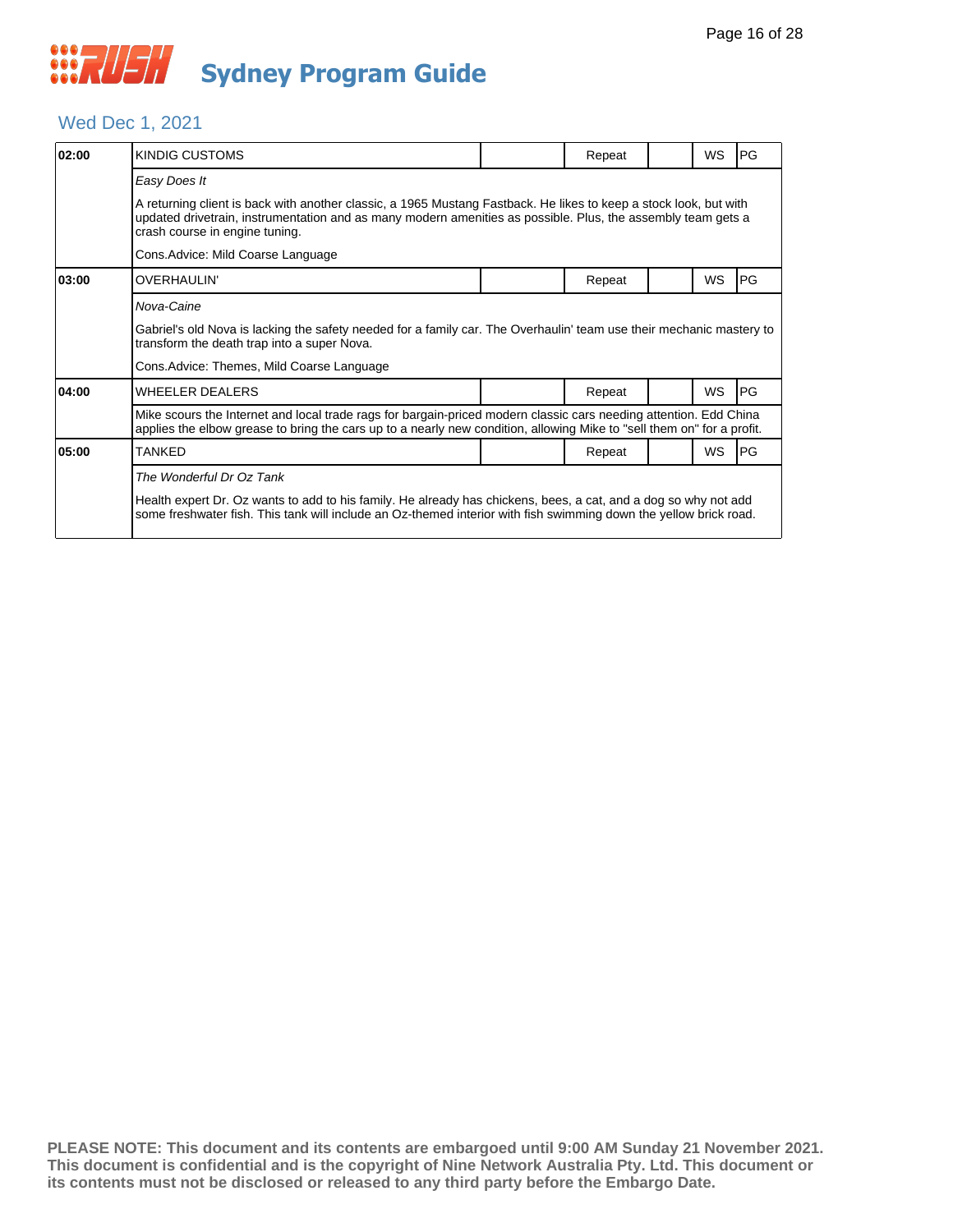#### Wed Dec 1, 2021

| 02:00 | KINDIG CUSTOMS                                                                                                                                                                                                                                                      |  | Repeat |  | <b>WS</b> | <b>PG</b>  |  |  |  |
|-------|---------------------------------------------------------------------------------------------------------------------------------------------------------------------------------------------------------------------------------------------------------------------|--|--------|--|-----------|------------|--|--|--|
|       | Easy Does It                                                                                                                                                                                                                                                        |  |        |  |           |            |  |  |  |
|       | A returning client is back with another classic, a 1965 Mustang Fastback. He likes to keep a stock look, but with<br>updated drivetrain, instrumentation and as many modern amenities as possible. Plus, the assembly team gets a<br>crash course in engine tuning. |  |        |  |           |            |  |  |  |
|       | Cons.Advice: Mild Coarse Language                                                                                                                                                                                                                                   |  |        |  |           |            |  |  |  |
| 03:00 | OVERHAULIN'                                                                                                                                                                                                                                                         |  | Repeat |  | <b>WS</b> | <b>PG</b>  |  |  |  |
|       | Nova-Caine                                                                                                                                                                                                                                                          |  |        |  |           |            |  |  |  |
|       | Gabriel's old Nova is lacking the safety needed for a family car. The Overhaulin' team use their mechanic mastery to<br>transform the death trap into a super Nova.                                                                                                 |  |        |  |           |            |  |  |  |
|       | Cons.Advice: Themes, Mild Coarse Language                                                                                                                                                                                                                           |  |        |  |           |            |  |  |  |
| 04:00 | <b>WHEELER DEALERS</b>                                                                                                                                                                                                                                              |  | Repeat |  | <b>WS</b> | <b>IPG</b> |  |  |  |
|       | Mike scours the Internet and local trade rags for bargain-priced modern classic cars needing attention. Edd China<br>applies the elbow grease to bring the cars up to a nearly new condition, allowing Mike to "sell them on" for a profit.                         |  |        |  |           |            |  |  |  |
| 05:00 | TANKED                                                                                                                                                                                                                                                              |  | Repeat |  | WS        | <b>IPG</b> |  |  |  |
|       | The Wonderful Dr Oz Tank                                                                                                                                                                                                                                            |  |        |  |           |            |  |  |  |
|       | Health expert Dr. Oz wants to add to his family. He already has chickens, bees, a cat, and a dog so why not add<br>some freshwater fish. This tank will include an Oz-themed interior with fish swimming down the yellow brick road.                                |  |        |  |           |            |  |  |  |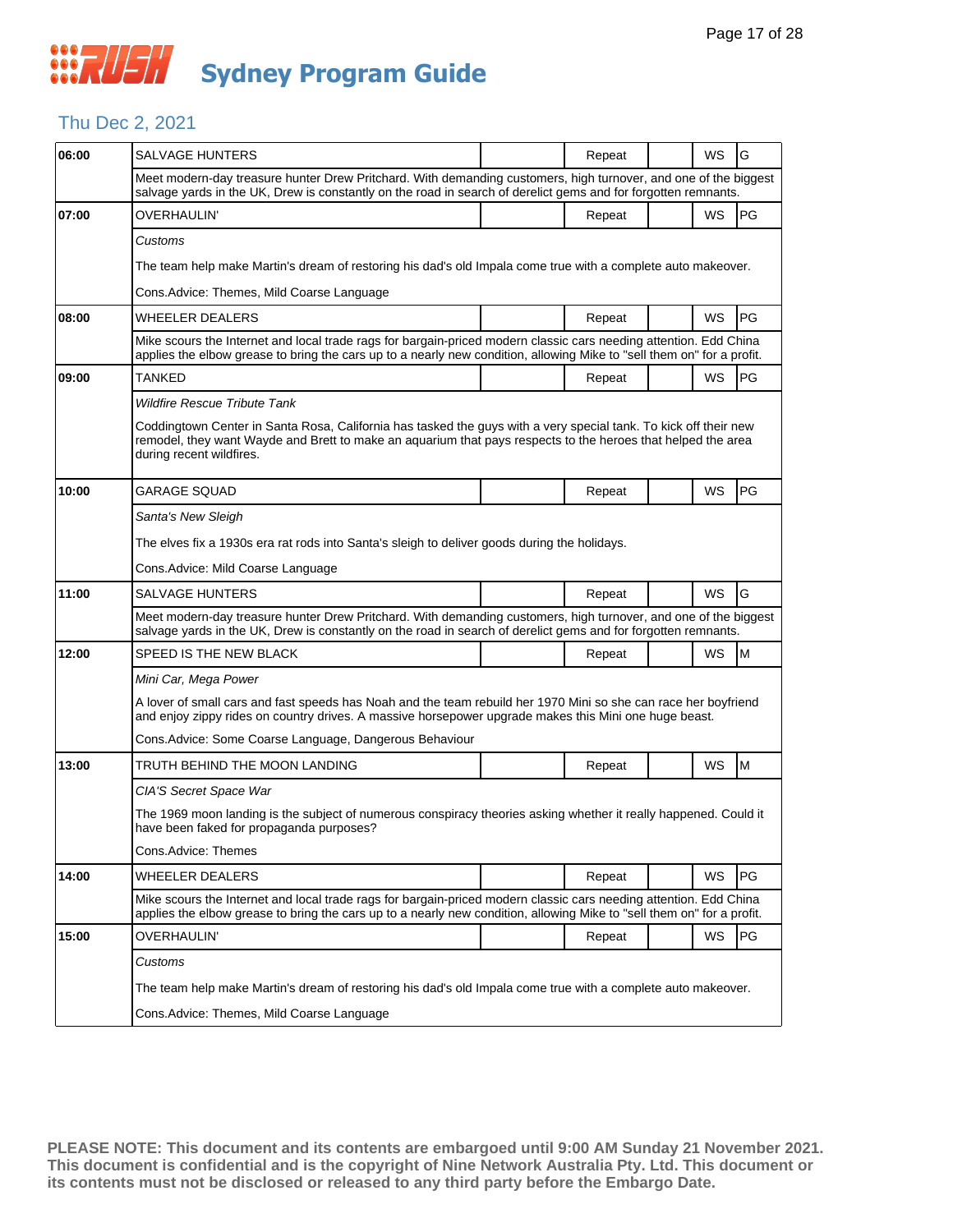#### Thu Dec 2, 2021

| 06:00 | <b>SALVAGE HUNTERS</b>                                                                                                                                                                                                                                       |  | Repeat |  | WS | G   |  |  |
|-------|--------------------------------------------------------------------------------------------------------------------------------------------------------------------------------------------------------------------------------------------------------------|--|--------|--|----|-----|--|--|
|       | Meet modern-day treasure hunter Drew Pritchard. With demanding customers, high turnover, and one of the biggest<br>salvage yards in the UK, Drew is constantly on the road in search of derelict gems and for forgotten remnants.                            |  |        |  |    |     |  |  |
| 07:00 | <b>OVERHAULIN'</b>                                                                                                                                                                                                                                           |  | Repeat |  | WS | PG  |  |  |
|       | Customs                                                                                                                                                                                                                                                      |  |        |  |    |     |  |  |
|       | The team help make Martin's dream of restoring his dad's old Impala come true with a complete auto makeover.                                                                                                                                                 |  |        |  |    |     |  |  |
|       | Cons.Advice: Themes, Mild Coarse Language                                                                                                                                                                                                                    |  |        |  |    |     |  |  |
| 08:00 | <b>WHEELER DEALERS</b>                                                                                                                                                                                                                                       |  | Repeat |  | WS | PG  |  |  |
|       | Mike scours the Internet and local trade rags for bargain-priced modern classic cars needing attention. Edd China<br>applies the elbow grease to bring the cars up to a nearly new condition, allowing Mike to "sell them on" for a profit.                  |  |        |  |    |     |  |  |
| 09:00 | TANKED                                                                                                                                                                                                                                                       |  | Repeat |  | WS | PG  |  |  |
|       | <b>Wildfire Rescue Tribute Tank</b>                                                                                                                                                                                                                          |  |        |  |    |     |  |  |
|       | Coddingtown Center in Santa Rosa, California has tasked the guys with a very special tank. To kick off their new<br>remodel, they want Wayde and Brett to make an aquarium that pays respects to the heroes that helped the area<br>during recent wildfires. |  |        |  |    |     |  |  |
| 10:00 | <b>GARAGE SQUAD</b>                                                                                                                                                                                                                                          |  | Repeat |  | WS | PG  |  |  |
|       | Santa's New Sleigh                                                                                                                                                                                                                                           |  |        |  |    |     |  |  |
|       | The elves fix a 1930s era rat rods into Santa's sleigh to deliver goods during the holidays.                                                                                                                                                                 |  |        |  |    |     |  |  |
|       | Cons.Advice: Mild Coarse Language                                                                                                                                                                                                                            |  |        |  |    |     |  |  |
| 11:00 | <b>SALVAGE HUNTERS</b>                                                                                                                                                                                                                                       |  | Repeat |  | WS | G   |  |  |
|       | Meet modern-day treasure hunter Drew Pritchard. With demanding customers, high turnover, and one of the biggest<br>salvage yards in the UK, Drew is constantly on the road in search of derelict gems and for forgotten remnants.                            |  |        |  |    |     |  |  |
| 12:00 | SPEED IS THE NEW BLACK                                                                                                                                                                                                                                       |  | Repeat |  | WS | M   |  |  |
|       | Mini Car, Mega Power                                                                                                                                                                                                                                         |  |        |  |    |     |  |  |
|       | A lover of small cars and fast speeds has Noah and the team rebuild her 1970 Mini so she can race her boyfriend<br>and enjoy zippy rides on country drives. A massive horsepower upgrade makes this Mini one huge beast.                                     |  |        |  |    |     |  |  |
|       | Cons. Advice: Some Coarse Language, Dangerous Behaviour                                                                                                                                                                                                      |  |        |  |    |     |  |  |
| 13:00 | TRUTH BEHIND THE MOON LANDING                                                                                                                                                                                                                                |  | Repeat |  | WS | M   |  |  |
|       | CIA'S Secret Space War                                                                                                                                                                                                                                       |  |        |  |    |     |  |  |
|       | The 1969 moon landing is the subject of numerous conspiracy theories asking whether it really happened. Could it<br>have been faked for propaganda purposes?                                                                                                 |  |        |  |    |     |  |  |
|       | Cons.Advice: Themes                                                                                                                                                                                                                                          |  |        |  |    |     |  |  |
| 14:00 | WHEELER DEALERS                                                                                                                                                                                                                                              |  | Repeat |  | WS | PG. |  |  |
|       | Mike scours the Internet and local trade rags for bargain-priced modern classic cars needing attention. Edd China<br>applies the elbow grease to bring the cars up to a nearly new condition, allowing Mike to "sell them on" for a profit.                  |  |        |  |    |     |  |  |
| 15:00 | OVERHAULIN'                                                                                                                                                                                                                                                  |  | Repeat |  | WS | PG  |  |  |
|       | Customs                                                                                                                                                                                                                                                      |  |        |  |    |     |  |  |
|       | The team help make Martin's dream of restoring his dad's old Impala come true with a complete auto makeover.                                                                                                                                                 |  |        |  |    |     |  |  |
|       | Cons.Advice: Themes, Mild Coarse Language                                                                                                                                                                                                                    |  |        |  |    |     |  |  |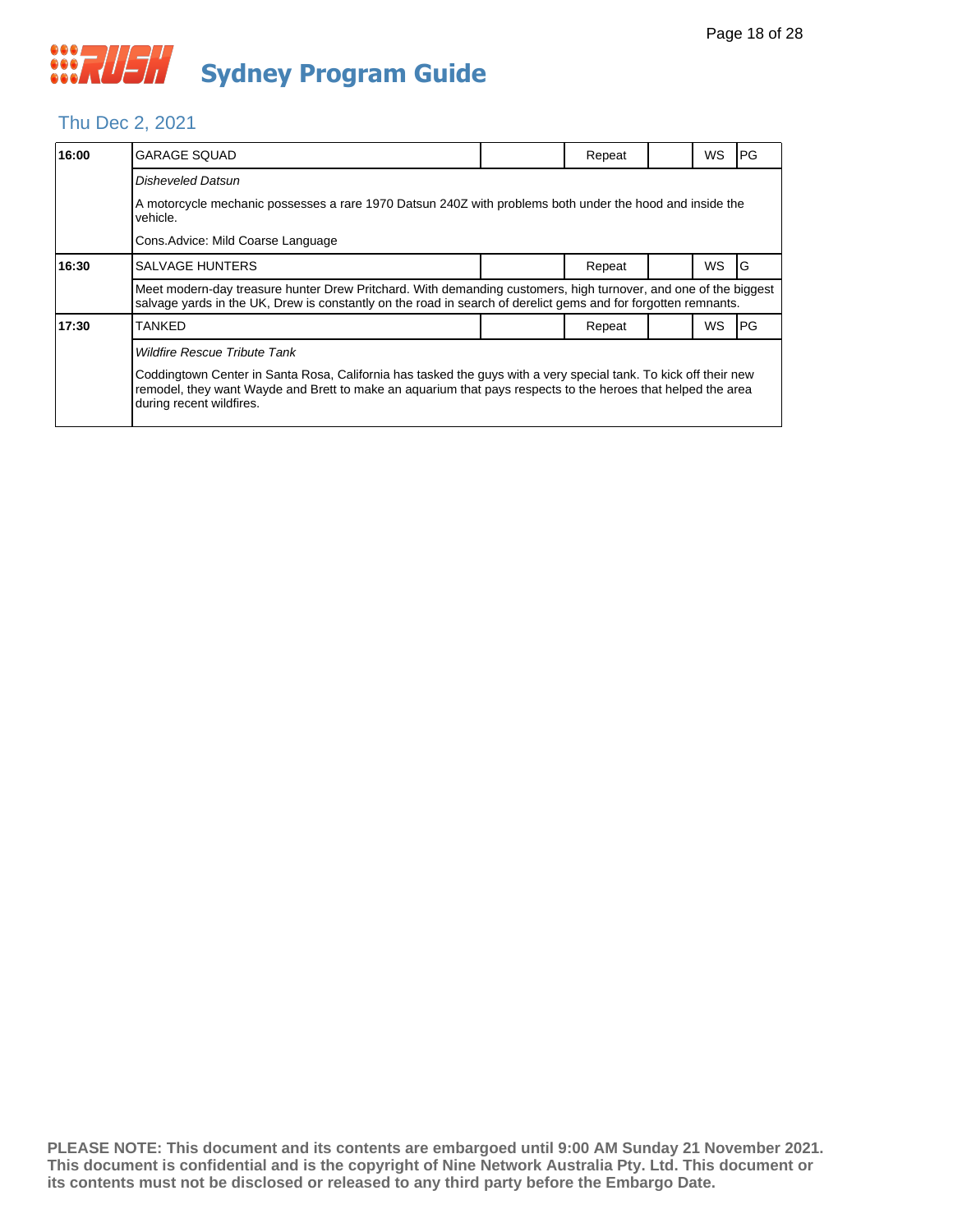#### Thu Dec 2, 2021

| 16:00 | <b>GARAGE SQUAD</b>                                                                                                                                                                                                                                                                                 |  | Repeat |  | WS        | <b>PG</b> |  |  |  |
|-------|-----------------------------------------------------------------------------------------------------------------------------------------------------------------------------------------------------------------------------------------------------------------------------------------------------|--|--------|--|-----------|-----------|--|--|--|
|       | Disheveled Datsun                                                                                                                                                                                                                                                                                   |  |        |  |           |           |  |  |  |
|       | A motorcycle mechanic possesses a rare 1970 Datsun 240Z with problems both under the hood and inside the<br>vehicle.                                                                                                                                                                                |  |        |  |           |           |  |  |  |
|       | Cons. Advice: Mild Coarse Language                                                                                                                                                                                                                                                                  |  |        |  |           |           |  |  |  |
| 16:30 | <b>SALVAGE HUNTERS</b>                                                                                                                                                                                                                                                                              |  | Repeat |  | <b>WS</b> | IG        |  |  |  |
|       | Meet modern-day treasure hunter Drew Pritchard. With demanding customers, high turnover, and one of the biggest<br>salvage yards in the UK, Drew is constantly on the road in search of derelict gems and for forgotten remnants.                                                                   |  |        |  |           |           |  |  |  |
| 17:30 | TANKED                                                                                                                                                                                                                                                                                              |  | Repeat |  | <b>WS</b> | IPG.      |  |  |  |
|       | <b>Wildfire Rescue Tribute Tank</b><br>Coddingtown Center in Santa Rosa, California has tasked the guys with a very special tank. To kick off their new<br>remodel, they want Wayde and Brett to make an aguarium that pays respects to the heroes that helped the area<br>during recent wildfires. |  |        |  |           |           |  |  |  |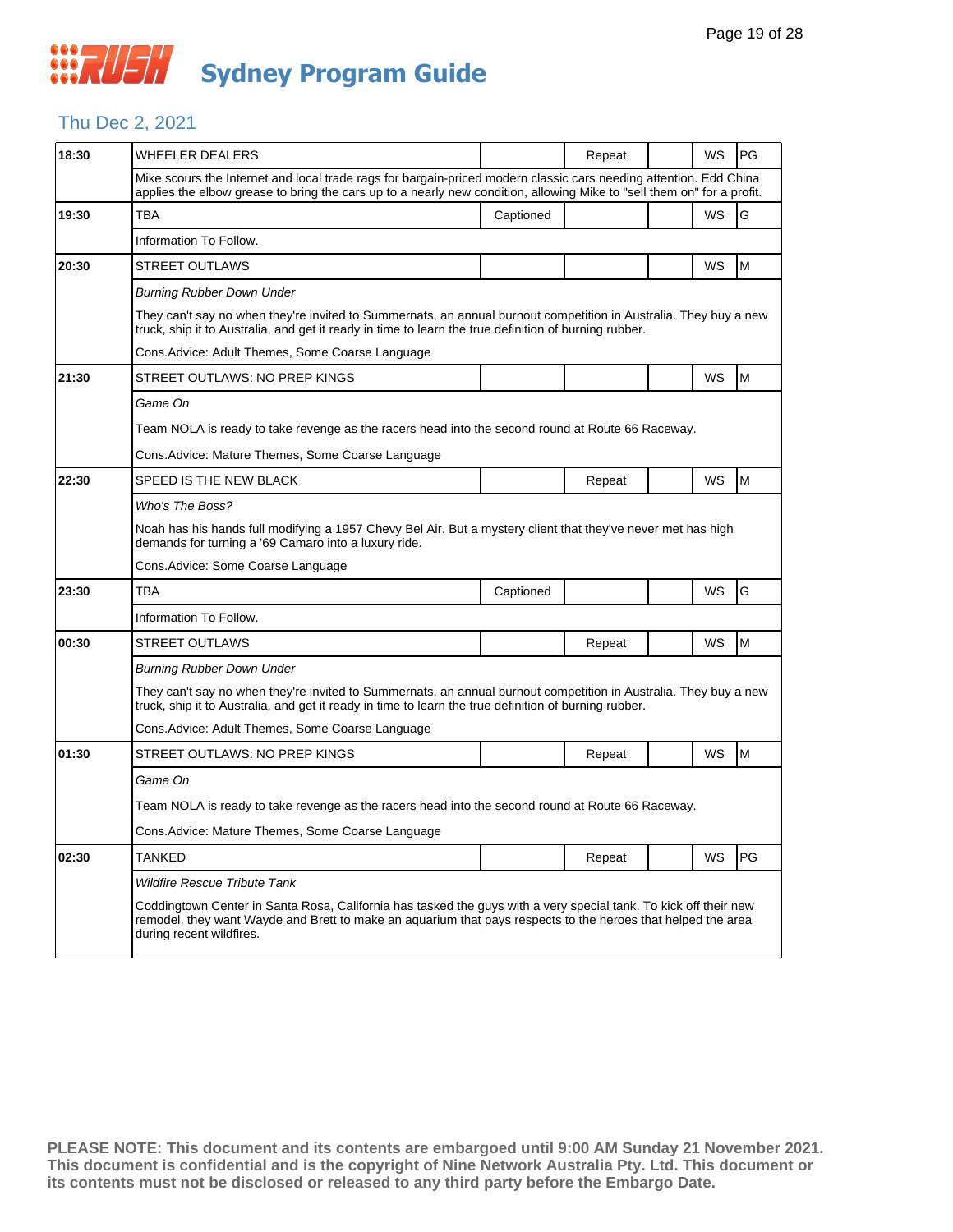#### Thu Dec 2, 2021

| 18:30 | <b>WHEELER DEALERS</b>                                                                                                                                                                                                                                       |           | Repeat |  | WS        | <b>PG</b> |  |  |  |
|-------|--------------------------------------------------------------------------------------------------------------------------------------------------------------------------------------------------------------------------------------------------------------|-----------|--------|--|-----------|-----------|--|--|--|
|       | Mike scours the Internet and local trade rags for bargain-priced modern classic cars needing attention. Edd China<br>applies the elbow grease to bring the cars up to a nearly new condition, allowing Mike to "sell them on" for a profit.                  |           |        |  |           |           |  |  |  |
| 19:30 | <b>TBA</b>                                                                                                                                                                                                                                                   | Captioned |        |  | WS        | G         |  |  |  |
|       | Information To Follow.                                                                                                                                                                                                                                       |           |        |  |           |           |  |  |  |
| 20:30 | <b>STREET OUTLAWS</b>                                                                                                                                                                                                                                        |           |        |  | <b>WS</b> | M         |  |  |  |
|       | <b>Burning Rubber Down Under</b>                                                                                                                                                                                                                             |           |        |  |           |           |  |  |  |
|       | They can't say no when they're invited to Summernats, an annual burnout competition in Australia. They buy a new<br>truck, ship it to Australia, and get it ready in time to learn the true definition of burning rubber.                                    |           |        |  |           |           |  |  |  |
|       | Cons. Advice: Adult Themes, Some Coarse Language                                                                                                                                                                                                             |           |        |  |           |           |  |  |  |
| 21:30 | STREET OUTLAWS: NO PREP KINGS                                                                                                                                                                                                                                |           |        |  | WS        | M         |  |  |  |
|       | Game On                                                                                                                                                                                                                                                      |           |        |  |           |           |  |  |  |
|       | Team NOLA is ready to take revenge as the racers head into the second round at Route 66 Raceway.                                                                                                                                                             |           |        |  |           |           |  |  |  |
|       | Cons.Advice: Mature Themes, Some Coarse Language                                                                                                                                                                                                             |           |        |  |           |           |  |  |  |
| 22:30 | SPEED IS THE NEW BLACK                                                                                                                                                                                                                                       |           | Repeat |  | WS        | M         |  |  |  |
|       | Who's The Boss?                                                                                                                                                                                                                                              |           |        |  |           |           |  |  |  |
|       | Noah has his hands full modifying a 1957 Chevy Bel Air. But a mystery client that they've never met has high<br>demands for turning a '69 Camaro into a luxury ride.                                                                                         |           |        |  |           |           |  |  |  |
|       | Cons.Advice: Some Coarse Language                                                                                                                                                                                                                            |           |        |  |           |           |  |  |  |
| 23:30 | TBA                                                                                                                                                                                                                                                          | Captioned |        |  | WS        | G         |  |  |  |
|       | Information To Follow.                                                                                                                                                                                                                                       |           |        |  |           |           |  |  |  |
| 00:30 | STREET OUTLAWS                                                                                                                                                                                                                                               |           | Repeat |  | WS        | M         |  |  |  |
|       | <b>Burning Rubber Down Under</b>                                                                                                                                                                                                                             |           |        |  |           |           |  |  |  |
|       | They can't say no when they're invited to Summernats, an annual burnout competition in Australia. They buy a new<br>truck, ship it to Australia, and get it ready in time to learn the true definition of burning rubber.                                    |           |        |  |           |           |  |  |  |
|       | Cons.Advice: Adult Themes, Some Coarse Language                                                                                                                                                                                                              |           |        |  |           |           |  |  |  |
| 01:30 | STREET OUTLAWS: NO PREP KINGS                                                                                                                                                                                                                                |           | Repeat |  | WS        | M         |  |  |  |
|       | Game On                                                                                                                                                                                                                                                      |           |        |  |           |           |  |  |  |
|       | Team NOLA is ready to take revenge as the racers head into the second round at Route 66 Raceway.                                                                                                                                                             |           |        |  |           |           |  |  |  |
|       | Cons.Advice: Mature Themes, Some Coarse Language                                                                                                                                                                                                             |           |        |  |           |           |  |  |  |
| 02:30 | <b>TANKED</b>                                                                                                                                                                                                                                                |           | Repeat |  | WS        | <b>PG</b> |  |  |  |
|       | <b>Wildfire Rescue Tribute Tank</b>                                                                                                                                                                                                                          |           |        |  |           |           |  |  |  |
|       | Coddingtown Center in Santa Rosa, California has tasked the guys with a very special tank. To kick off their new<br>remodel, they want Wayde and Brett to make an aquarium that pays respects to the heroes that helped the area<br>during recent wildfires. |           |        |  |           |           |  |  |  |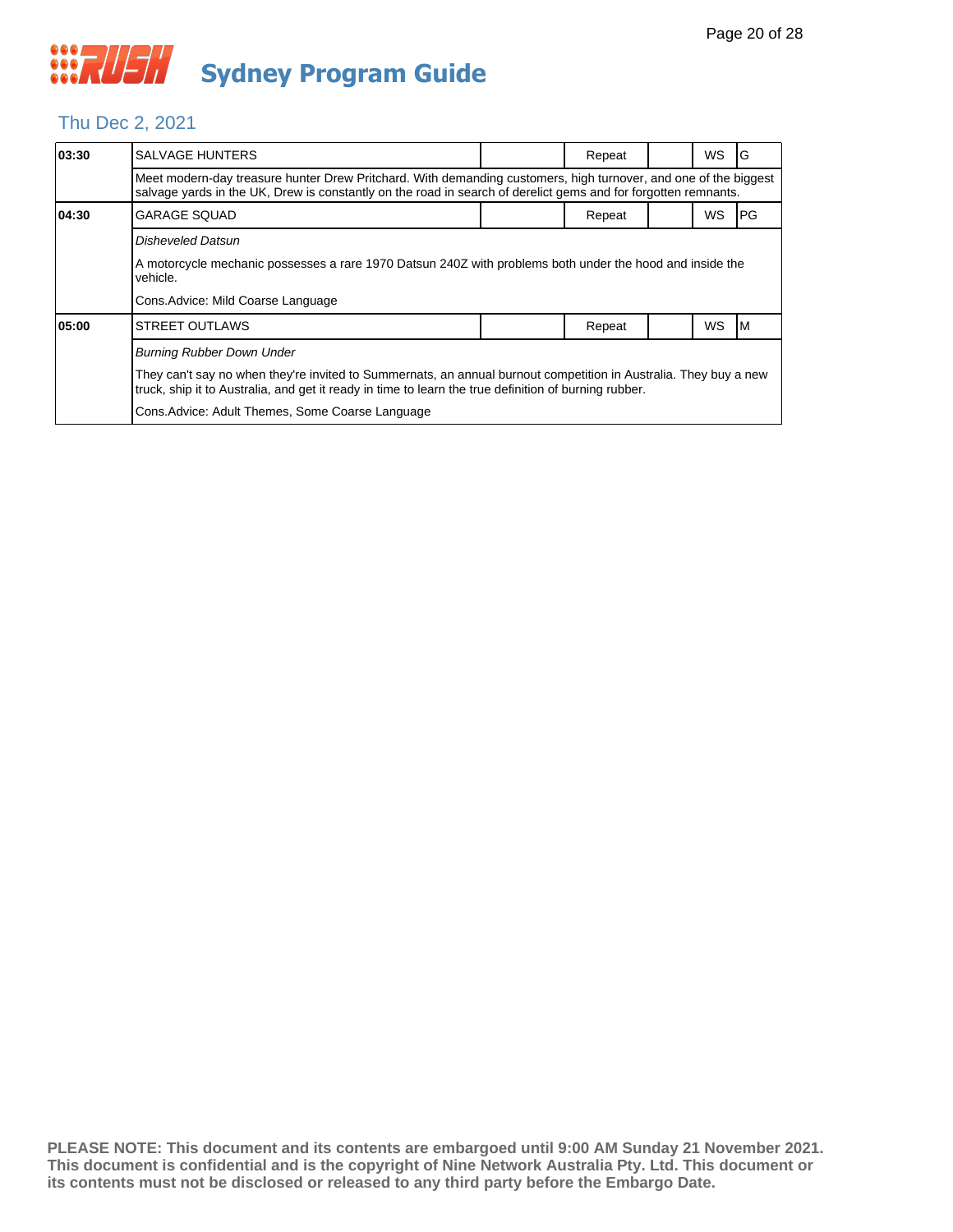#### Thu Dec 2, 2021

| 03:30 | <b>SALVAGE HUNTERS</b>                                                                                                                                                                                                            |  | Repeat |  | <b>WS</b> | G    |  |  |  |
|-------|-----------------------------------------------------------------------------------------------------------------------------------------------------------------------------------------------------------------------------------|--|--------|--|-----------|------|--|--|--|
|       | Meet modern-day treasure hunter Drew Pritchard. With demanding customers, high turnover, and one of the biggest<br>salvage yards in the UK, Drew is constantly on the road in search of derelict gems and for forgotten remnants. |  |        |  |           |      |  |  |  |
| 04:30 | <b>GARAGE SQUAD</b>                                                                                                                                                                                                               |  | Repeat |  | <b>WS</b> | IPG. |  |  |  |
|       | Disheveled Datsun                                                                                                                                                                                                                 |  |        |  |           |      |  |  |  |
|       | A motorcycle mechanic possesses a rare 1970 Datsun 240Z with problems both under the hood and inside the<br>vehicle.                                                                                                              |  |        |  |           |      |  |  |  |
|       | Cons. Advice: Mild Coarse Language                                                                                                                                                                                                |  |        |  |           |      |  |  |  |
| 05:00 | <b>STREET OUTLAWS</b>                                                                                                                                                                                                             |  | Repeat |  | <b>WS</b> | IM.  |  |  |  |
|       | <b>Burning Rubber Down Under</b>                                                                                                                                                                                                  |  |        |  |           |      |  |  |  |
|       | They can't say no when they're invited to Summernats, an annual burnout competition in Australia. They buy a new<br>truck, ship it to Australia, and get it ready in time to learn the true definition of burning rubber.         |  |        |  |           |      |  |  |  |
|       | Cons. Advice: Adult Themes, Some Coarse Language                                                                                                                                                                                  |  |        |  |           |      |  |  |  |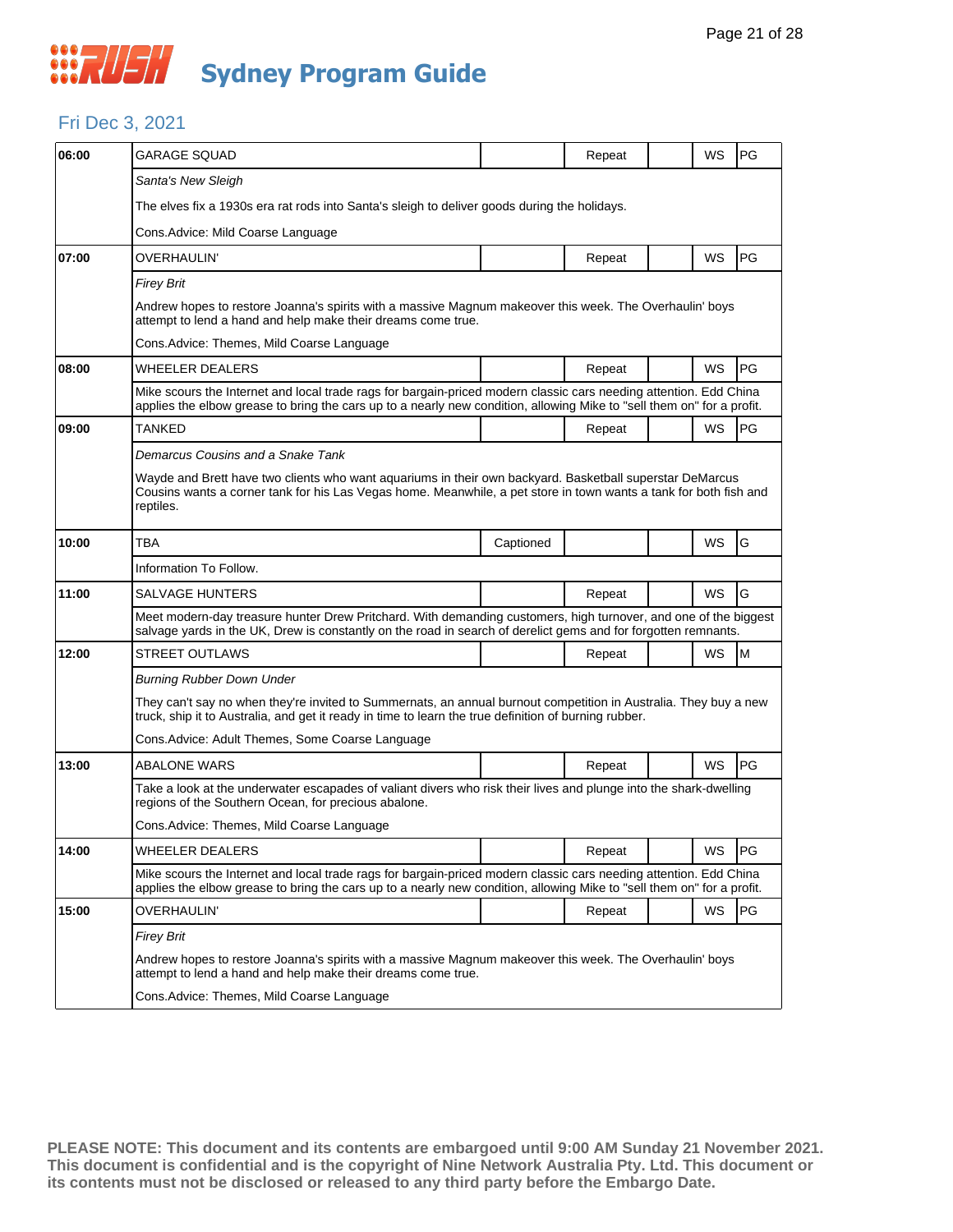#### Fri Dec 3, 2021

| 06:00 | <b>GARAGE SQUAD</b>                                                                                                                                                                                                                         |           | Repeat |  | WS        | PG |  |  |  |
|-------|---------------------------------------------------------------------------------------------------------------------------------------------------------------------------------------------------------------------------------------------|-----------|--------|--|-----------|----|--|--|--|
|       | Santa's New Sleigh                                                                                                                                                                                                                          |           |        |  |           |    |  |  |  |
|       | The elves fix a 1930s era rat rods into Santa's sleigh to deliver goods during the holidays.                                                                                                                                                |           |        |  |           |    |  |  |  |
|       | Cons.Advice: Mild Coarse Language                                                                                                                                                                                                           |           |        |  |           |    |  |  |  |
| 07:00 | OVERHAULIN'                                                                                                                                                                                                                                 |           | Repeat |  | WS        | PG |  |  |  |
|       | <b>Firey Brit</b>                                                                                                                                                                                                                           |           |        |  |           |    |  |  |  |
|       | Andrew hopes to restore Joanna's spirits with a massive Magnum makeover this week. The Overhaulin' boys<br>attempt to lend a hand and help make their dreams come true.                                                                     |           |        |  |           |    |  |  |  |
|       | Cons.Advice: Themes, Mild Coarse Language                                                                                                                                                                                                   |           |        |  |           |    |  |  |  |
| 08:00 | <b>WHEELER DEALERS</b>                                                                                                                                                                                                                      |           | Repeat |  | WS        | PG |  |  |  |
|       | Mike scours the Internet and local trade rags for bargain-priced modern classic cars needing attention. Edd China<br>applies the elbow grease to bring the cars up to a nearly new condition, allowing Mike to "sell them on" for a profit. |           |        |  |           |    |  |  |  |
| 09:00 | TANKED                                                                                                                                                                                                                                      |           | Repeat |  | WS        | PG |  |  |  |
|       | Demarcus Cousins and a Snake Tank                                                                                                                                                                                                           |           |        |  |           |    |  |  |  |
|       | Wayde and Brett have two clients who want aquariums in their own backyard. Basketball superstar DeMarcus<br>Cousins wants a corner tank for his Las Vegas home. Meanwhile, a pet store in town wants a tank for both fish and<br>reptiles.  |           |        |  |           |    |  |  |  |
| 10:00 | ТВА                                                                                                                                                                                                                                         | Captioned |        |  | WS        | G  |  |  |  |
|       | Information To Follow.                                                                                                                                                                                                                      |           |        |  |           |    |  |  |  |
| 11:00 | <b>SALVAGE HUNTERS</b>                                                                                                                                                                                                                      |           | Repeat |  | WS        | G  |  |  |  |
|       | Meet modern-day treasure hunter Drew Pritchard. With demanding customers, high turnover, and one of the biggest<br>salvage yards in the UK, Drew is constantly on the road in search of derelict gems and for forgotten remnants.           |           |        |  |           |    |  |  |  |
| 12:00 | STREET OUTLAWS                                                                                                                                                                                                                              |           | Repeat |  | WS        | M  |  |  |  |
|       | <b>Burning Rubber Down Under</b>                                                                                                                                                                                                            |           |        |  |           |    |  |  |  |
|       | They can't say no when they're invited to Summernats, an annual burnout competition in Australia. They buy a new<br>truck, ship it to Australia, and get it ready in time to learn the true definition of burning rubber.                   |           |        |  |           |    |  |  |  |
|       | Cons. Advice: Adult Themes, Some Coarse Language                                                                                                                                                                                            |           |        |  |           |    |  |  |  |
| 13:00 | ABALONE WARS                                                                                                                                                                                                                                |           | Repeat |  | WS        | PG |  |  |  |
|       | Take a look at the underwater escapades of valiant divers who risk their lives and plunge into the shark-dwelling<br>regions of the Southern Ocean, for precious abalone.                                                                   |           |        |  |           |    |  |  |  |
|       | Cons.Advice: Themes, Mild Coarse Language                                                                                                                                                                                                   |           |        |  |           |    |  |  |  |
| 14:00 | <b>WHEELER DEALERS</b>                                                                                                                                                                                                                      |           | Repeat |  | WS        | PG |  |  |  |
|       | Mike scours the Internet and local trade rags for bargain-priced modern classic cars needing attention. Edd China<br>applies the elbow grease to bring the cars up to a nearly new condition, allowing Mike to "sell them on" for a profit. |           |        |  |           |    |  |  |  |
| 15:00 | OVERHAULIN'                                                                                                                                                                                                                                 |           | Repeat |  | <b>WS</b> | PG |  |  |  |
|       | Firey Brit                                                                                                                                                                                                                                  |           |        |  |           |    |  |  |  |
|       | Andrew hopes to restore Joanna's spirits with a massive Magnum makeover this week. The Overhaulin' boys<br>attempt to lend a hand and help make their dreams come true.                                                                     |           |        |  |           |    |  |  |  |
|       | Cons. Advice: Themes, Mild Coarse Language                                                                                                                                                                                                  |           |        |  |           |    |  |  |  |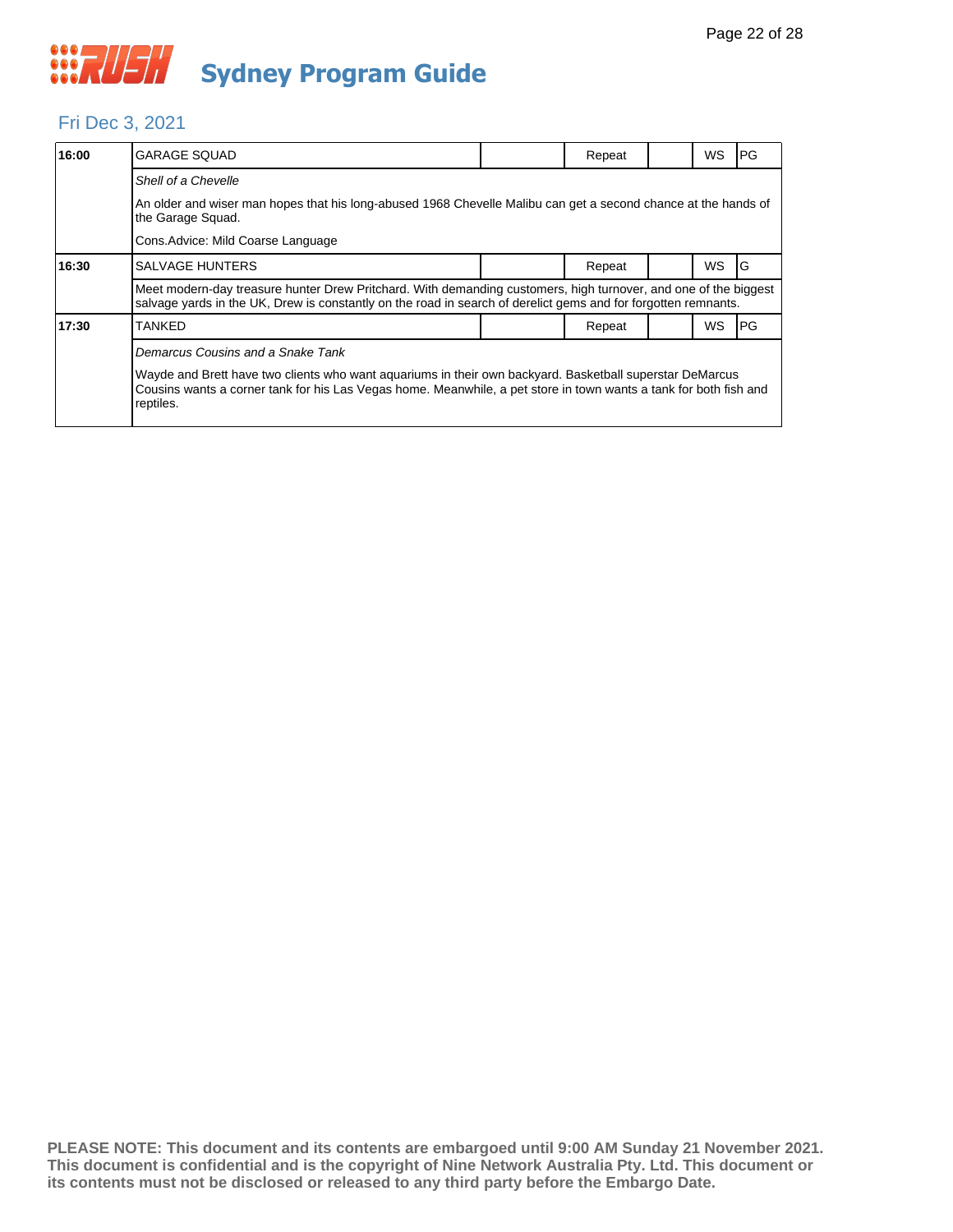#### Fri Dec 3, 2021

| 16:00 | <b>GARAGE SQUAD</b>                                                                                                                                                                                                                                                             |  | Repeat |  | WS        | <b>PG</b> |  |  |
|-------|---------------------------------------------------------------------------------------------------------------------------------------------------------------------------------------------------------------------------------------------------------------------------------|--|--------|--|-----------|-----------|--|--|
|       | Shell of a Chevelle                                                                                                                                                                                                                                                             |  |        |  |           |           |  |  |
|       | An older and wiser man hopes that his long-abused 1968 Chevelle Malibu can get a second chance at the hands of<br>the Garage Squad.                                                                                                                                             |  |        |  |           |           |  |  |
|       | Cons. Advice: Mild Coarse Language                                                                                                                                                                                                                                              |  |        |  |           |           |  |  |
| 16:30 | <b>SALVAGE HUNTERS</b>                                                                                                                                                                                                                                                          |  | Repeat |  | <b>WS</b> | IG        |  |  |
|       | Meet modern-day treasure hunter Drew Pritchard. With demanding customers, high turnover, and one of the biggest<br>salvage yards in the UK, Drew is constantly on the road in search of derelict gems and for forgotten remnants.                                               |  |        |  |           |           |  |  |
| 17:30 | <b>TANKED</b>                                                                                                                                                                                                                                                                   |  | Repeat |  | <b>WS</b> | IPG.      |  |  |
|       | Demarcus Cousins and a Snake Tank<br>Wayde and Brett have two clients who want aquariums in their own backyard. Basketball superstar DeMarcus<br>Cousins wants a corner tank for his Las Vegas home. Meanwhile, a pet store in town wants a tank for both fish and<br>reptiles. |  |        |  |           |           |  |  |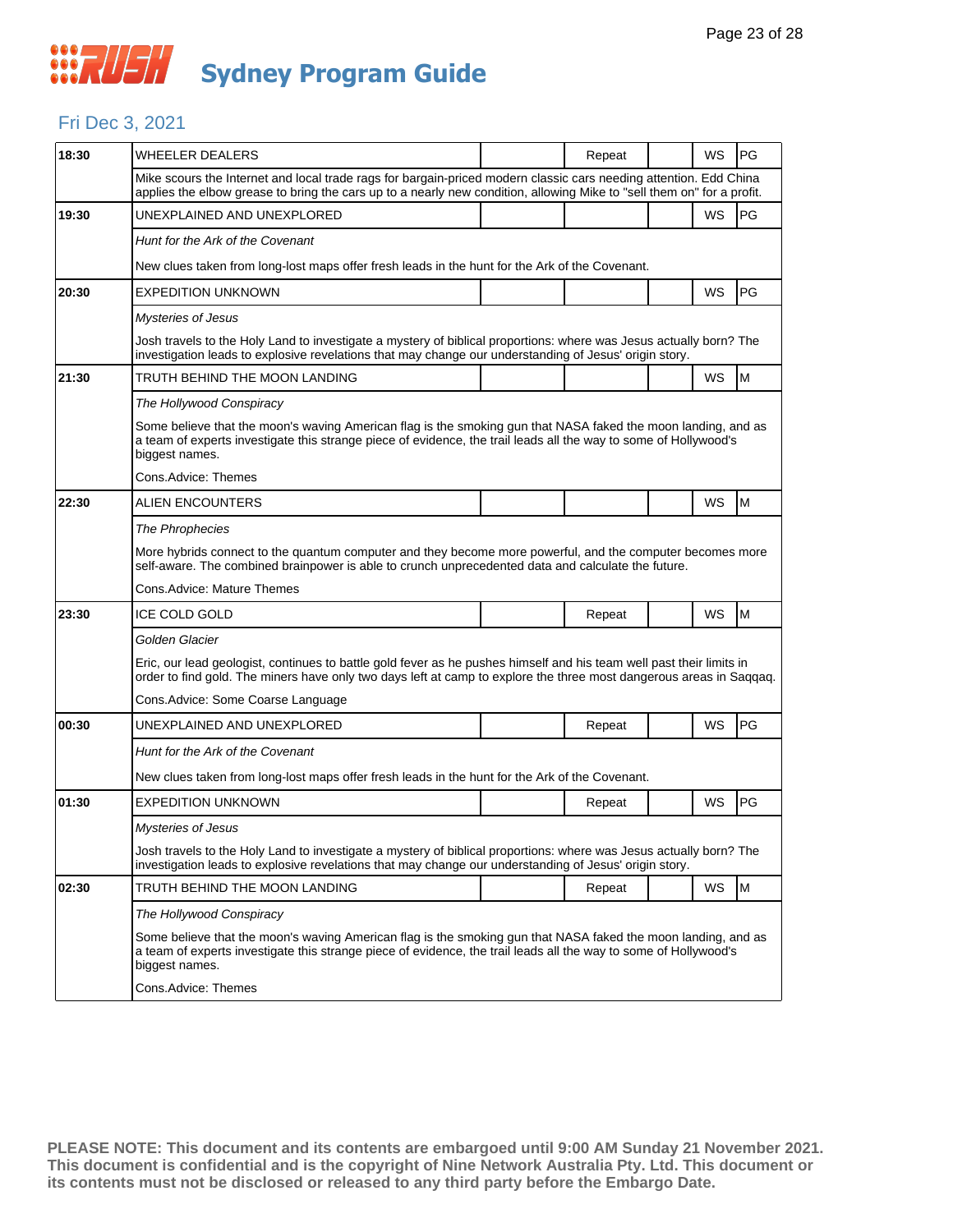#### Fri Dec 3, 2021

| 18:30 | <b>WHEELER DEALERS</b>                                                                                                                                                                                                                              |  | Repeat |  | WS        | PG |  |  |  |
|-------|-----------------------------------------------------------------------------------------------------------------------------------------------------------------------------------------------------------------------------------------------------|--|--------|--|-----------|----|--|--|--|
|       | Mike scours the Internet and local trade rags for bargain-priced modern classic cars needing attention. Edd China<br>applies the elbow grease to bring the cars up to a nearly new condition, allowing Mike to "sell them on" for a profit.         |  |        |  |           |    |  |  |  |
| 19:30 | UNEXPLAINED AND UNEXPLORED                                                                                                                                                                                                                          |  |        |  | <b>WS</b> | PG |  |  |  |
|       | Hunt for the Ark of the Covenant                                                                                                                                                                                                                    |  |        |  |           |    |  |  |  |
|       | New clues taken from long-lost maps offer fresh leads in the hunt for the Ark of the Covenant.                                                                                                                                                      |  |        |  |           |    |  |  |  |
| 20:30 | <b>EXPEDITION UNKNOWN</b>                                                                                                                                                                                                                           |  |        |  | WS        | PG |  |  |  |
|       | <b>Mysteries of Jesus</b>                                                                                                                                                                                                                           |  |        |  |           |    |  |  |  |
|       | Josh travels to the Holy Land to investigate a mystery of biblical proportions: where was Jesus actually born? The<br>investigation leads to explosive revelations that may change our understanding of Jesus' origin story.                        |  |        |  |           |    |  |  |  |
| 21:30 | TRUTH BEHIND THE MOON LANDING                                                                                                                                                                                                                       |  |        |  | <b>WS</b> | M  |  |  |  |
|       | The Hollywood Conspiracy                                                                                                                                                                                                                            |  |        |  |           |    |  |  |  |
|       | Some believe that the moon's waving American flag is the smoking gun that NASA faked the moon landing, and as<br>a team of experts investigate this strange piece of evidence, the trail leads all the way to some of Hollywood's<br>biggest names. |  |        |  |           |    |  |  |  |
|       | Cons.Advice: Themes                                                                                                                                                                                                                                 |  |        |  |           |    |  |  |  |
| 22:30 | ALIEN ENCOUNTERS                                                                                                                                                                                                                                    |  |        |  | WS        | M  |  |  |  |
|       | The Phrophecies                                                                                                                                                                                                                                     |  |        |  |           |    |  |  |  |
|       | More hybrids connect to the quantum computer and they become more powerful, and the computer becomes more<br>self-aware. The combined brainpower is able to crunch unprecedented data and calculate the future.                                     |  |        |  |           |    |  |  |  |
|       | Cons.Advice: Mature Themes                                                                                                                                                                                                                          |  |        |  |           |    |  |  |  |
| 23:30 | <b>ICE COLD GOLD</b>                                                                                                                                                                                                                                |  | Repeat |  | WS        | M  |  |  |  |
|       | Golden Glacier                                                                                                                                                                                                                                      |  |        |  |           |    |  |  |  |
|       | Eric, our lead geologist, continues to battle gold fever as he pushes himself and his team well past their limits in<br>order to find gold. The miners have only two days left at camp to explore the three most dangerous areas in Saqqaq.         |  |        |  |           |    |  |  |  |
|       | Cons. Advice: Some Coarse Language                                                                                                                                                                                                                  |  |        |  |           |    |  |  |  |
| 00:30 | UNEXPLAINED AND UNEXPLORED                                                                                                                                                                                                                          |  | Repeat |  | WS        | PG |  |  |  |
|       | Hunt for the Ark of the Covenant                                                                                                                                                                                                                    |  |        |  |           |    |  |  |  |
|       | New clues taken from long-lost maps offer fresh leads in the hunt for the Ark of the Covenant.                                                                                                                                                      |  |        |  |           |    |  |  |  |
| 01:30 | <b>EXPEDITION UNKNOWN</b>                                                                                                                                                                                                                           |  | Repeat |  | WS        | PG |  |  |  |
|       | <b>Mysteries of Jesus</b>                                                                                                                                                                                                                           |  |        |  |           |    |  |  |  |
|       | Josh travels to the Holy Land to investigate a mystery of biblical proportions: where was Jesus actually born? The<br>investigation leads to explosive revelations that may change our understanding of Jesus' origin story.                        |  |        |  |           |    |  |  |  |
| 02:30 | TRUTH BEHIND THE MOON LANDING                                                                                                                                                                                                                       |  | Repeat |  | WS        | M  |  |  |  |
|       |                                                                                                                                                                                                                                                     |  |        |  |           |    |  |  |  |
|       | The Hollywood Conspiracy                                                                                                                                                                                                                            |  |        |  |           |    |  |  |  |
|       | Some believe that the moon's waving American flag is the smoking gun that NASA faked the moon landing, and as<br>a team of experts investigate this strange piece of evidence, the trail leads all the way to some of Hollywood's<br>biggest names. |  |        |  |           |    |  |  |  |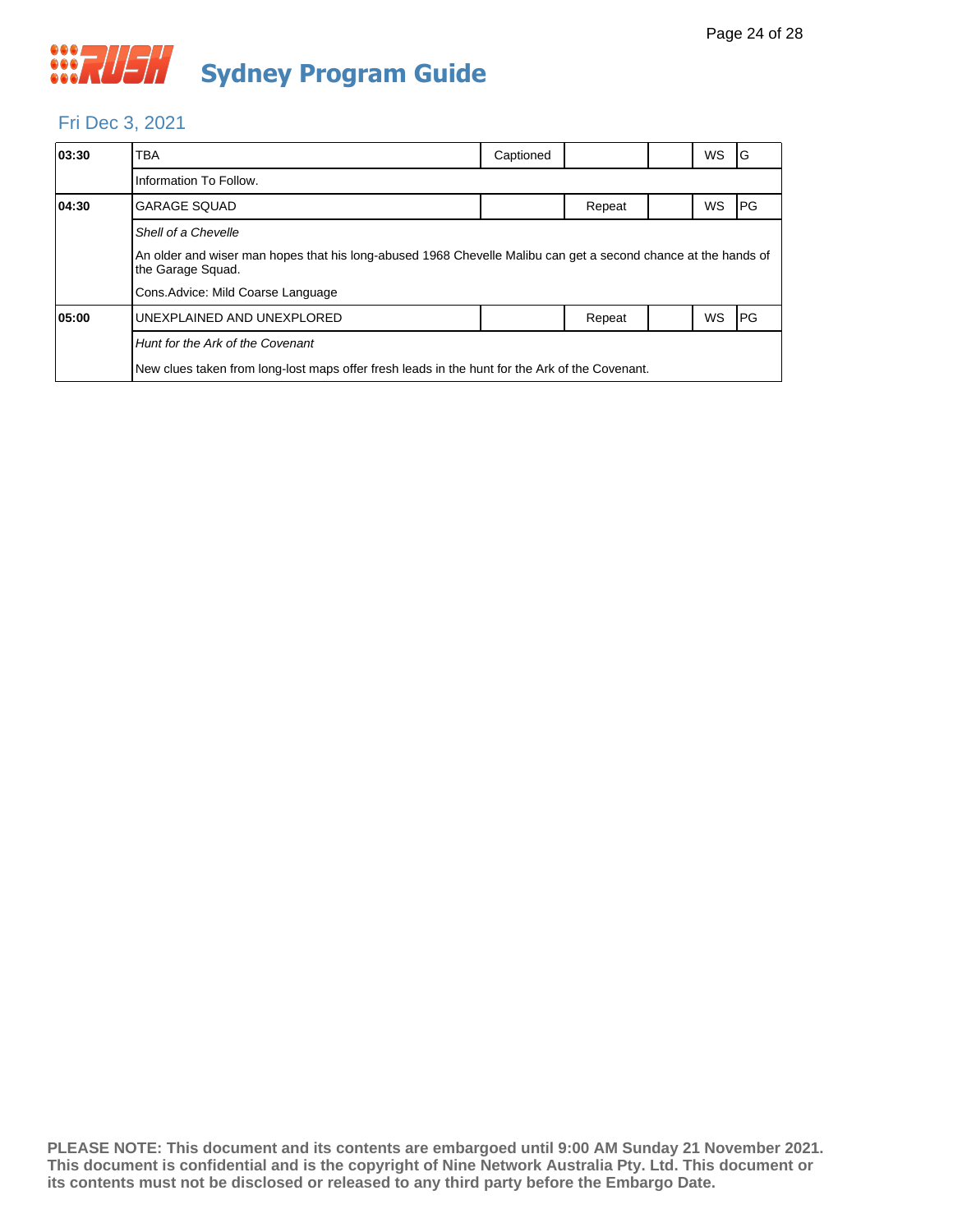#### Fri Dec 3, 2021

| 03:30 | <b>TBA</b>                                                                                                     | Captioned |        |  | <b>WS</b> | IG   |  |  |  |
|-------|----------------------------------------------------------------------------------------------------------------|-----------|--------|--|-----------|------|--|--|--|
|       | Information To Follow.                                                                                         |           |        |  |           |      |  |  |  |
| 04:30 | <b>GARAGE SQUAD</b>                                                                                            |           | Repeat |  | <b>WS</b> | IPG. |  |  |  |
|       | Shell of a Chevelle                                                                                            |           |        |  |           |      |  |  |  |
|       | An older and wiser man hopes that his long-abused 1968 Chevelle Malibu can get a second chance at the hands of |           |        |  |           |      |  |  |  |
|       | Cons. Advice: Mild Coarse Language                                                                             |           |        |  |           |      |  |  |  |
| 05:00 | UNEXPLAINED AND UNEXPLORED                                                                                     |           | Repeat |  | <b>WS</b> | IPG. |  |  |  |
|       | Hunt for the Ark of the Covenant                                                                               |           |        |  |           |      |  |  |  |
|       | New clues taken from long-lost maps offer fresh leads in the hunt for the Ark of the Covenant.                 |           |        |  |           |      |  |  |  |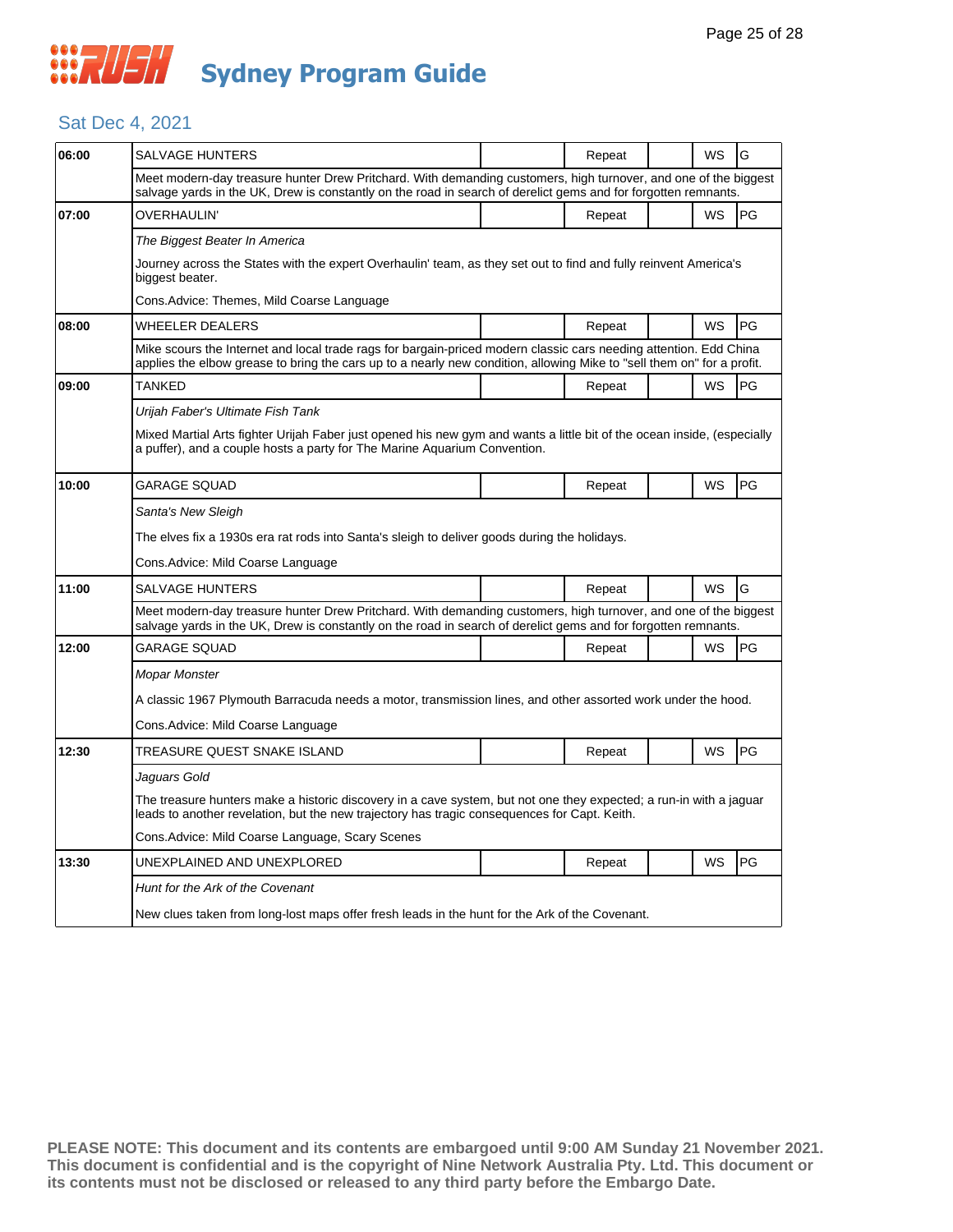#### Sat Dec 4, 2021

| 06:00 | SALVAGE HUNTERS                                                                                                                                                                                                                             |  | Repeat |  | WS | G  |  |  |
|-------|---------------------------------------------------------------------------------------------------------------------------------------------------------------------------------------------------------------------------------------------|--|--------|--|----|----|--|--|
|       | Meet modern-day treasure hunter Drew Pritchard. With demanding customers, high turnover, and one of the biggest<br>salvage yards in the UK, Drew is constantly on the road in search of derelict gems and for forgotten remnants.           |  |        |  |    |    |  |  |
| 07:00 | OVERHAULIN'                                                                                                                                                                                                                                 |  | Repeat |  | WS | PG |  |  |
|       | The Biggest Beater In America                                                                                                                                                                                                               |  |        |  |    |    |  |  |
|       | Journey across the States with the expert Overhaulin' team, as they set out to find and fully reinvent America's<br>biggest beater.                                                                                                         |  |        |  |    |    |  |  |
|       | Cons.Advice: Themes, Mild Coarse Language                                                                                                                                                                                                   |  |        |  |    |    |  |  |
| 08:00 | WHEELER DEALERS                                                                                                                                                                                                                             |  | Repeat |  | WS | PG |  |  |
|       | Mike scours the Internet and local trade rags for bargain-priced modern classic cars needing attention. Edd China<br>applies the elbow grease to bring the cars up to a nearly new condition, allowing Mike to "sell them on" for a profit. |  |        |  |    |    |  |  |
| 09:00 | TANKED                                                                                                                                                                                                                                      |  | Repeat |  | WS | PG |  |  |
|       | Urijah Faber's Ultimate Fish Tank                                                                                                                                                                                                           |  |        |  |    |    |  |  |
|       | Mixed Martial Arts fighter Urijah Faber just opened his new gym and wants a little bit of the ocean inside, (especially<br>a puffer), and a couple hosts a party for The Marine Aquarium Convention.                                        |  |        |  |    |    |  |  |
| 10:00 | GARAGE SQUAD                                                                                                                                                                                                                                |  | Repeat |  | WS | PG |  |  |
|       | Santa's New Sleigh                                                                                                                                                                                                                          |  |        |  |    |    |  |  |
|       | The elves fix a 1930s era rat rods into Santa's sleigh to deliver goods during the holidays.                                                                                                                                                |  |        |  |    |    |  |  |
|       | Cons.Advice: Mild Coarse Language                                                                                                                                                                                                           |  |        |  |    |    |  |  |
| 11:00 | <b>SALVAGE HUNTERS</b>                                                                                                                                                                                                                      |  | Repeat |  | WS | G  |  |  |
|       | Meet modern-day treasure hunter Drew Pritchard. With demanding customers, high turnover, and one of the biggest<br>salvage yards in the UK, Drew is constantly on the road in search of derelict gems and for forgotten remnants.           |  |        |  |    |    |  |  |
| 12:00 | GARAGE SQUAD                                                                                                                                                                                                                                |  | Repeat |  | WS | PG |  |  |
|       | Mopar Monster                                                                                                                                                                                                                               |  |        |  |    |    |  |  |
|       | A classic 1967 Plymouth Barracuda needs a motor, transmission lines, and other assorted work under the hood.                                                                                                                                |  |        |  |    |    |  |  |
|       | Cons.Advice: Mild Coarse Language                                                                                                                                                                                                           |  |        |  |    |    |  |  |
| 12:30 | TREASURE QUEST SNAKE ISLAND                                                                                                                                                                                                                 |  | Repeat |  | WS | PG |  |  |
|       | Jaguars Gold                                                                                                                                                                                                                                |  |        |  |    |    |  |  |
|       | The treasure hunters make a historic discovery in a cave system, but not one they expected; a run-in with a jaguar<br>leads to another revelation, but the new trajectory has tragic consequences for Capt. Keith.                          |  |        |  |    |    |  |  |
|       | Cons. Advice: Mild Coarse Language, Scary Scenes                                                                                                                                                                                            |  |        |  |    |    |  |  |
| 13:30 | UNEXPLAINED AND UNEXPLORED                                                                                                                                                                                                                  |  | Repeat |  | WS | PG |  |  |
|       | Hunt for the Ark of the Covenant                                                                                                                                                                                                            |  |        |  |    |    |  |  |
|       | New clues taken from long-lost maps offer fresh leads in the hunt for the Ark of the Covenant.                                                                                                                                              |  |        |  |    |    |  |  |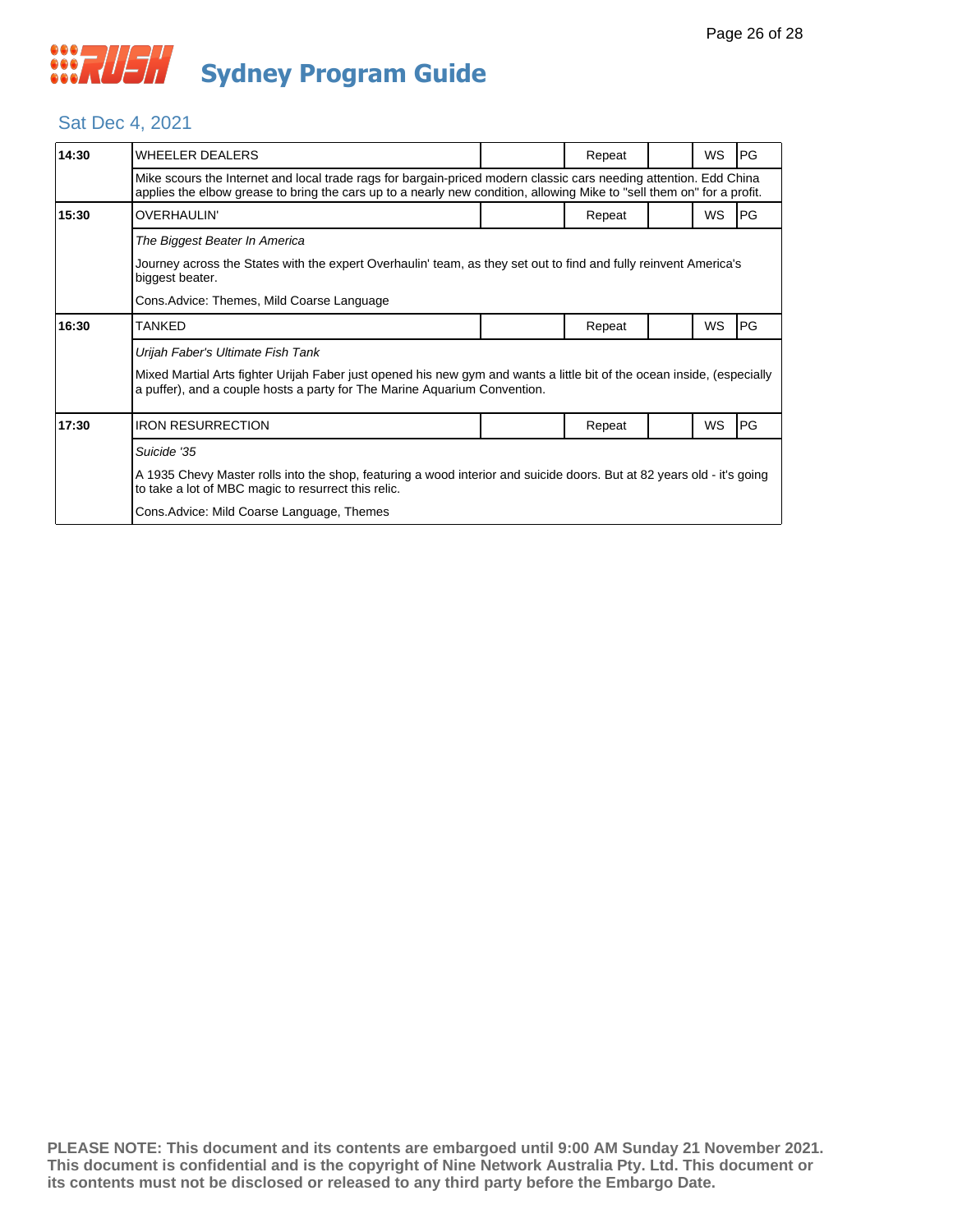#### Sat Dec 4, 2021

| 14:30                                      | <b>WHEELER DEALERS</b>                                                                                                                                                                                                                      |  | Repeat |  | <b>WS</b> | IPG. |  |
|--------------------------------------------|---------------------------------------------------------------------------------------------------------------------------------------------------------------------------------------------------------------------------------------------|--|--------|--|-----------|------|--|
|                                            | Mike scours the Internet and local trade rags for bargain-priced modern classic cars needing attention. Edd China<br>applies the elbow grease to bring the cars up to a nearly new condition, allowing Mike to "sell them on" for a profit. |  |        |  |           |      |  |
| 15:30                                      | <b>OVERHAULIN'</b>                                                                                                                                                                                                                          |  | Repeat |  | <b>WS</b> | IPG. |  |
|                                            | The Biggest Beater In America                                                                                                                                                                                                               |  |        |  |           |      |  |
|                                            | Journey across the States with the expert Overhaulin' team, as they set out to find and fully reinvent America's<br>biggest beater.                                                                                                         |  |        |  |           |      |  |
|                                            | Cons. Advice: Themes, Mild Coarse Language                                                                                                                                                                                                  |  |        |  |           |      |  |
| 16:30                                      | <b>TANKED</b>                                                                                                                                                                                                                               |  | Repeat |  | WS        | PG   |  |
|                                            | Urijah Faber's Ultimate Fish Tank                                                                                                                                                                                                           |  |        |  |           |      |  |
|                                            | Mixed Martial Arts fighter Urijah Faber just opened his new gym and wants a little bit of the ocean inside, (especially<br>a puffer), and a couple hosts a party for The Marine Aquarium Convention.                                        |  |        |  |           |      |  |
| 17:30                                      | <b>IRON RESURRECTION</b>                                                                                                                                                                                                                    |  | Repeat |  | WS        | PG   |  |
|                                            | Suicide '35                                                                                                                                                                                                                                 |  |        |  |           |      |  |
|                                            | A 1935 Chevy Master rolls into the shop, featuring a wood interior and suicide doors. But at 82 years old - it's going<br>to take a lot of MBC magic to resurrect this relic.                                                               |  |        |  |           |      |  |
| Cons. Advice: Mild Coarse Language, Themes |                                                                                                                                                                                                                                             |  |        |  |           |      |  |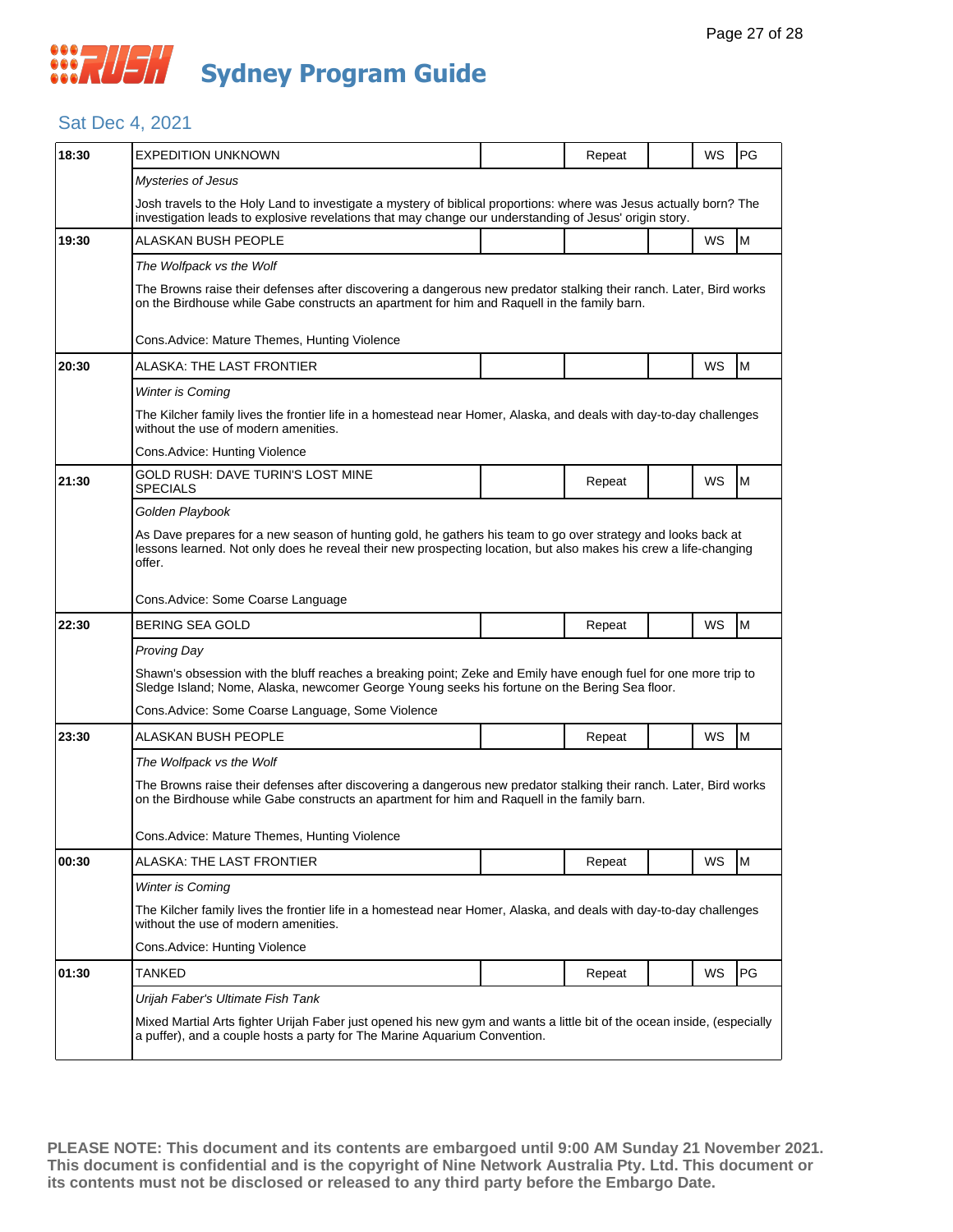#### Sat Dec 4, 2021

| 18:30 | EXPEDITION UNKNOWN                                                                                                                                                                                                                         |  | Repeat |  | WS        | <b>PG</b> |  |  |
|-------|--------------------------------------------------------------------------------------------------------------------------------------------------------------------------------------------------------------------------------------------|--|--------|--|-----------|-----------|--|--|
|       | <b>Mysteries of Jesus</b>                                                                                                                                                                                                                  |  |        |  |           |           |  |  |
|       | Josh travels to the Holy Land to investigate a mystery of biblical proportions: where was Jesus actually born? The<br>investigation leads to explosive revelations that may change our understanding of Jesus' origin story.               |  |        |  |           |           |  |  |
| 19:30 | ALASKAN BUSH PEOPLE                                                                                                                                                                                                                        |  |        |  | WS        | M         |  |  |
|       | The Wolfpack vs the Wolf                                                                                                                                                                                                                   |  |        |  |           |           |  |  |
|       | The Browns raise their defenses after discovering a dangerous new predator stalking their ranch. Later, Bird works<br>on the Birdhouse while Gabe constructs an apartment for him and Raquell in the family barn.                          |  |        |  |           |           |  |  |
|       | Cons. Advice: Mature Themes, Hunting Violence                                                                                                                                                                                              |  |        |  |           |           |  |  |
| 20:30 | ALASKA: THE LAST FRONTIER                                                                                                                                                                                                                  |  |        |  | WS        | M         |  |  |
|       | <b>Winter is Coming</b>                                                                                                                                                                                                                    |  |        |  |           |           |  |  |
|       | The Kilcher family lives the frontier life in a homestead near Homer, Alaska, and deals with day-to-day challenges<br>without the use of modern amenities.                                                                                 |  |        |  |           |           |  |  |
|       | Cons. Advice: Hunting Violence                                                                                                                                                                                                             |  |        |  |           |           |  |  |
| 21:30 | GOLD RUSH: DAVE TURIN'S LOST MINE<br><b>SPECIALS</b>                                                                                                                                                                                       |  | Repeat |  | WS        | M         |  |  |
|       | Golden Playbook                                                                                                                                                                                                                            |  |        |  |           |           |  |  |
|       | As Dave prepares for a new season of hunting gold, he gathers his team to go over strategy and looks back at<br>lessons learned. Not only does he reveal their new prospecting location, but also makes his crew a life-changing<br>offer. |  |        |  |           |           |  |  |
|       | Cons. Advice: Some Coarse Language                                                                                                                                                                                                         |  |        |  |           |           |  |  |
| 22:30 | BERING SEA GOLD                                                                                                                                                                                                                            |  | Repeat |  | WS        | M         |  |  |
|       | Proving Day                                                                                                                                                                                                                                |  |        |  |           |           |  |  |
|       | Shawn's obsession with the bluff reaches a breaking point; Zeke and Emily have enough fuel for one more trip to<br>Sledge Island; Nome, Alaska, newcomer George Young seeks his fortune on the Bering Sea floor.                           |  |        |  |           |           |  |  |
|       | Cons. Advice: Some Coarse Language, Some Violence                                                                                                                                                                                          |  |        |  |           |           |  |  |
| 23:30 | ALASKAN BUSH PEOPLE                                                                                                                                                                                                                        |  | Repeat |  | WS        | M         |  |  |
|       | The Wolfpack vs the Wolf                                                                                                                                                                                                                   |  |        |  |           |           |  |  |
|       | The Browns raise their defenses after discovering a dangerous new predator stalking their ranch. Later, Bird works<br>on the Birdhouse while Gabe constructs an apartment for him and Raquell in the family barn.                          |  |        |  |           |           |  |  |
|       | Cons. Advice: Mature Themes, Hunting Violence                                                                                                                                                                                              |  |        |  |           |           |  |  |
| 00:30 | ALASKA: THE LAST FRONTIER                                                                                                                                                                                                                  |  | Repeat |  | <b>WS</b> | M         |  |  |
|       | Winter is Coming                                                                                                                                                                                                                           |  |        |  |           |           |  |  |
|       | The Kilcher family lives the frontier life in a homestead near Homer, Alaska, and deals with day-to-day challenges<br>without the use of modern amenities.                                                                                 |  |        |  |           |           |  |  |
|       | Cons. Advice: Hunting Violence                                                                                                                                                                                                             |  |        |  |           |           |  |  |
| 01:30 | <b>TANKED</b>                                                                                                                                                                                                                              |  | Repeat |  | WS        | PG        |  |  |
|       | Urijah Faber's Ultimate Fish Tank                                                                                                                                                                                                          |  |        |  |           |           |  |  |
|       | Mixed Martial Arts fighter Urijah Faber just opened his new gym and wants a little bit of the ocean inside, (especially<br>a puffer), and a couple hosts a party for The Marine Aquarium Convention.                                       |  |        |  |           |           |  |  |